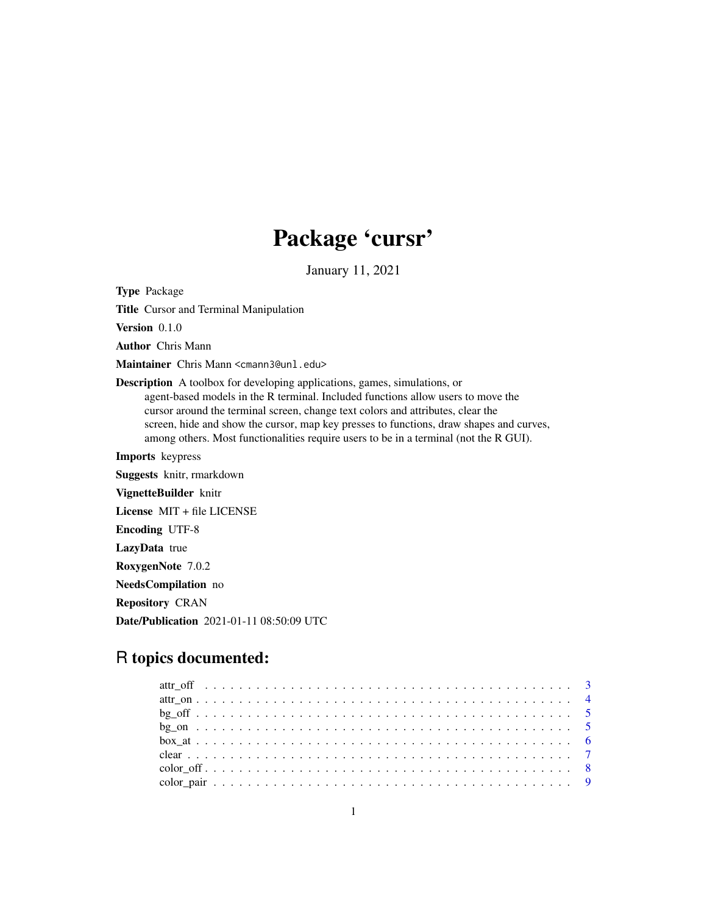# Package 'cursr'

January 11, 2021

Type Package

Title Cursor and Terminal Manipulation

Version 0.1.0

Author Chris Mann

Maintainer Chris Mann <cmann3@unl.edu>

Description A toolbox for developing applications, games, simulations, or agent-based models in the R terminal. Included functions allow users to move the cursor around the terminal screen, change text colors and attributes, clear the screen, hide and show the cursor, map key presses to functions, draw shapes and curves, among others. Most functionalities require users to be in a terminal (not the R GUI).

Imports keypress Suggests knitr, rmarkdown VignetteBuilder knitr License MIT + file LICENSE Encoding UTF-8 LazyData true RoxygenNote 7.0.2 NeedsCompilation no Repository CRAN

Date/Publication 2021-01-11 08:50:09 UTC

# R topics documented: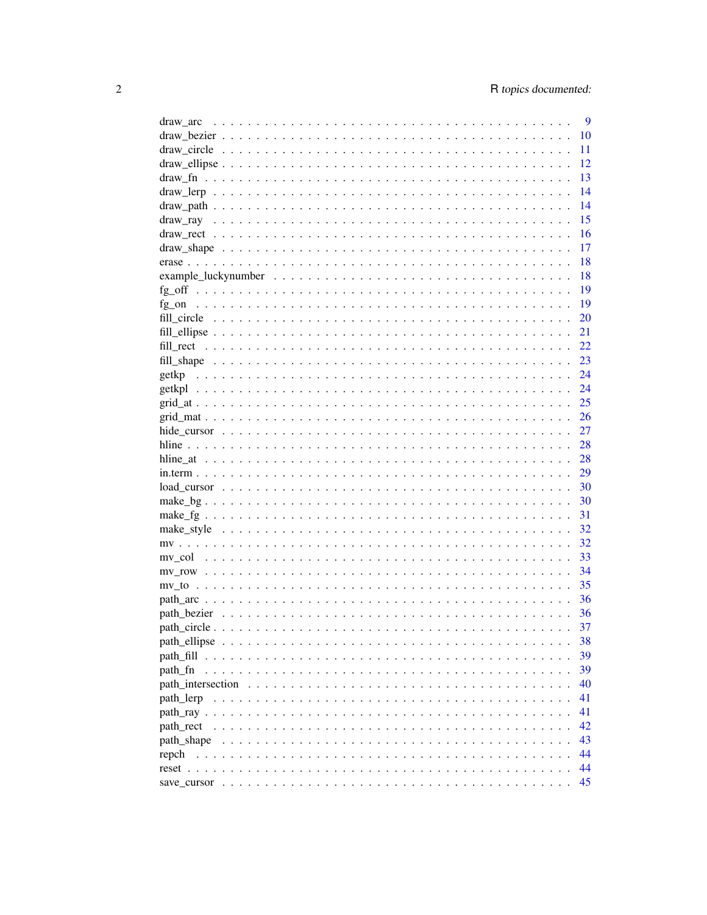| draw arc    | 9  |
|-------------|----|
|             | 10 |
|             | 11 |
|             | 12 |
|             | 13 |
|             | 14 |
|             | 14 |
|             | 15 |
|             | 16 |
|             | 17 |
|             | 18 |
|             | 18 |
|             | 19 |
|             |    |
|             | 19 |
|             | 20 |
|             | 21 |
|             | 22 |
|             | 23 |
|             | 24 |
|             | 24 |
|             | 25 |
|             | 26 |
|             | 27 |
|             | 28 |
|             | 28 |
|             | 29 |
|             | 30 |
|             | 30 |
|             | 31 |
|             | 32 |
|             | 32 |
|             | 33 |
|             | 34 |
|             | 35 |
|             | 36 |
|             |    |
| path bezier | 36 |
|             | 37 |
|             | 38 |
|             | 39 |
| path fn     | 39 |
|             | 40 |
| path lerp   | 41 |
|             | 41 |
| path rect   | 42 |
| path_shape  | 43 |
| repch       | 44 |
|             | 44 |
|             | 45 |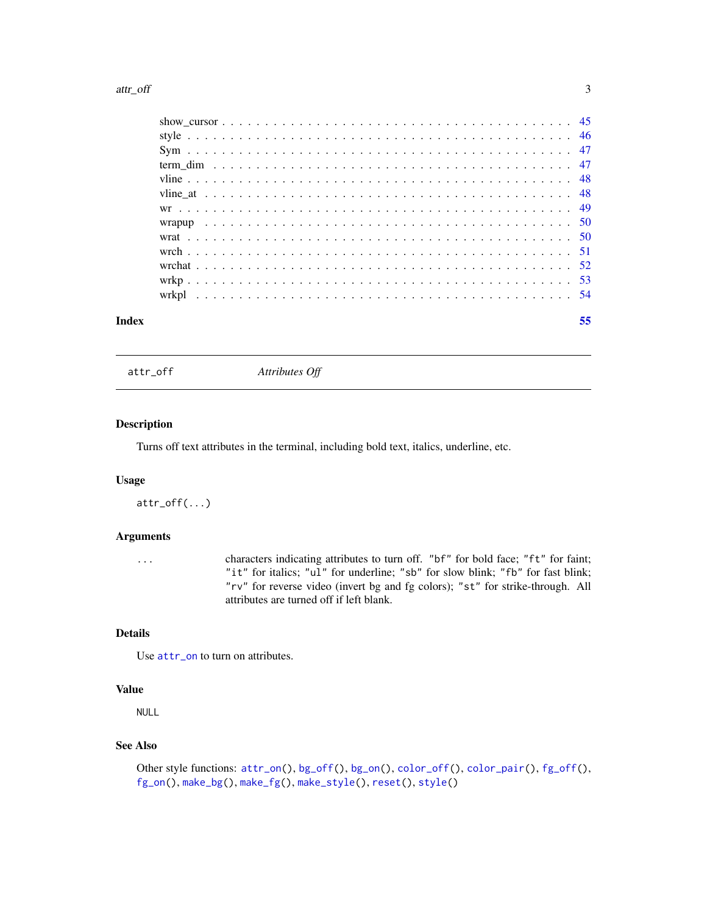#### <span id="page-2-0"></span>attr\_off 3

| Index | 55 |
|-------|----|
|       |    |
|       |    |
|       |    |
|       |    |
|       |    |
|       |    |
|       |    |
|       |    |
|       |    |
|       |    |
|       |    |
|       |    |
|       |    |

<span id="page-2-1"></span>attr\_off *Attributes Off*

#### Description

Turns off text attributes in the terminal, including bold text, italics, underline, etc.

# Usage

attr\_off(...)

#### Arguments

... characters indicating attributes to turn off. "bf" for bold face; "ft" for faint; "it" for italics; "ul" for underline; "sb" for slow blink; "fb" for fast blink; "rv" for reverse video (invert bg and fg colors); "st" for strike-through. All attributes are turned off if left blank.

#### Details

Use [attr\\_on](#page-3-1) to turn on attributes.

#### Value

NULL

# See Also

```
Other style functions: attr\_on()bg_off(bg_on(color_off(color_pair(fg_off(),
fg_on(), make_bg(), make_fg(), make_style(), reset(), style()
```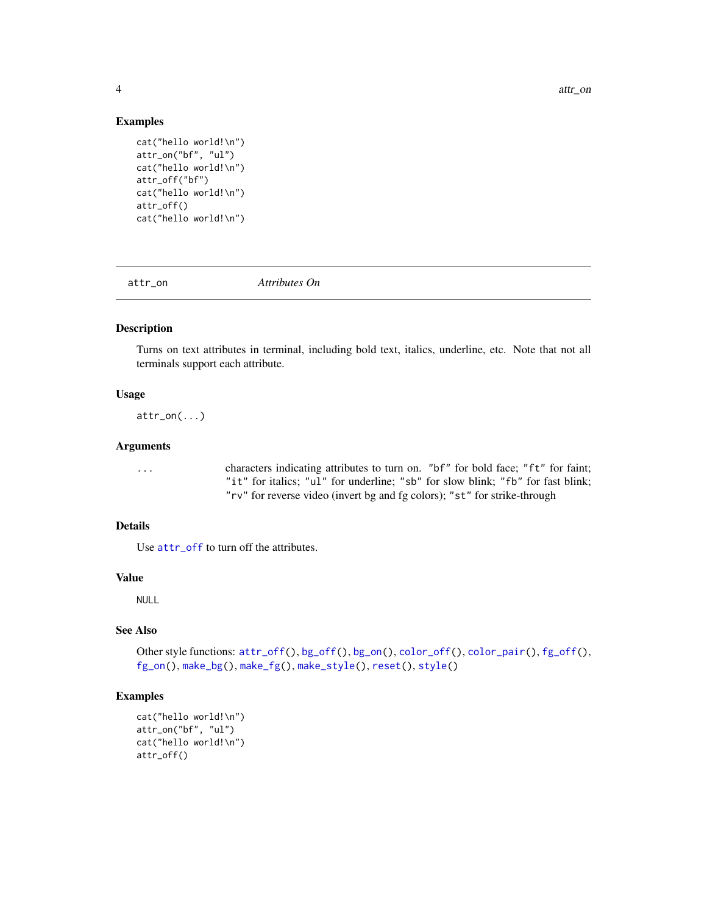#### Examples

```
cat("hello world!\n")
attr_on("bf", "ul")
cat("hello world!\n")
attr_off("bf")
cat("hello world!\n")
attr_off()
cat("hello world!\n")
```
<span id="page-3-1"></span>

attr\_on *Attributes On*

#### Description

Turns on text attributes in terminal, including bold text, italics, underline, etc. Note that not all terminals support each attribute.

# Usage

 $attr\_on(...)$ 

#### Arguments

... characters indicating attributes to turn on. "bf" for bold face; "ft" for faint; "it" for italics; "ul" for underline; "sb" for slow blink; "fb" for fast blink; "rv" for reverse video (invert bg and fg colors); "st" for strike-through

# Details

Use [attr\\_off](#page-2-1) to turn off the attributes.

## Value

NULL

# See Also

```
Other style functions: attr_off(), bg_off(), bg_on(), color_off(), color_pair(), fg_off(),
fg_on(), make_bg(), make_fg(), make_style(), reset(), style()
```

```
cat("hello world!\n")
attr_on("bf", "ul")
cat("hello world!\n")
attr_off()
```
<span id="page-3-0"></span>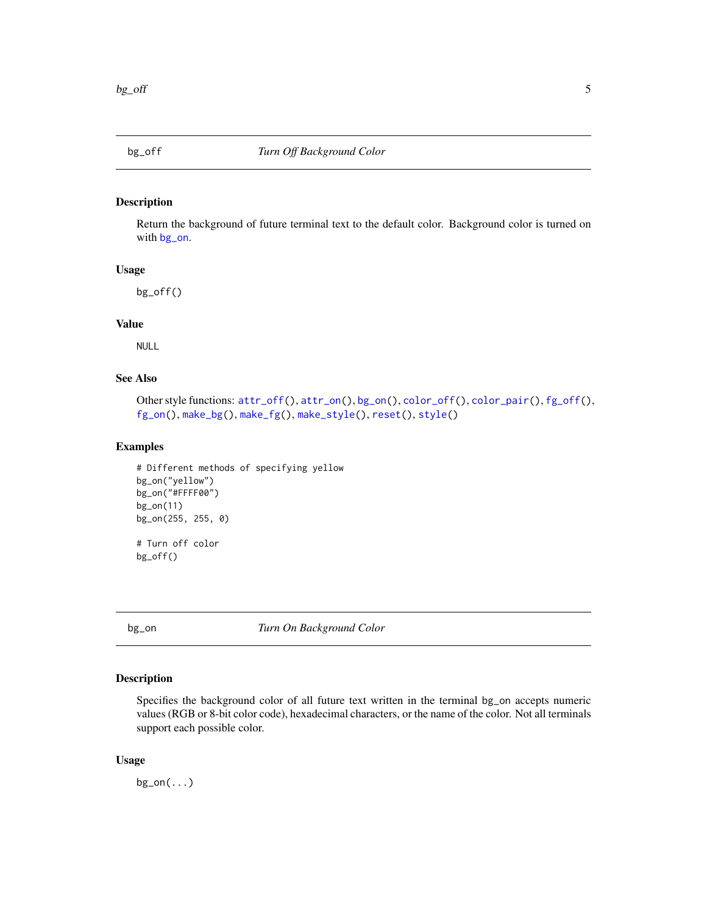<span id="page-4-1"></span><span id="page-4-0"></span>

Return the background of future terminal text to the default color. Background color is turned on with [bg\\_on](#page-4-2).

#### Usage

bg\_off()

# Value

NULL

# See Also

```
Other style functions: attr_off(), attr_on(), bg_on(), color_off(), color_pair(), fg_off(),
fg_on(), make_bg(), make_fg(), make_style(), reset(), style()
```
# Examples

```
# Different methods of specifying yellow
bg_on("yellow")
bg_on("#FFFF00")
bg_on(11)
bg_on(255, 255, 0)
# Turn off color
```
<span id="page-4-2"></span>

bg\_off()

bg\_on *Turn On Background Color*

# Description

Specifies the background color of all future text written in the terminal bg\_on accepts numeric values (RGB or 8-bit color code), hexadecimal characters, or the name of the color. Not all terminals support each possible color.

#### Usage

 $bg\_on(...)$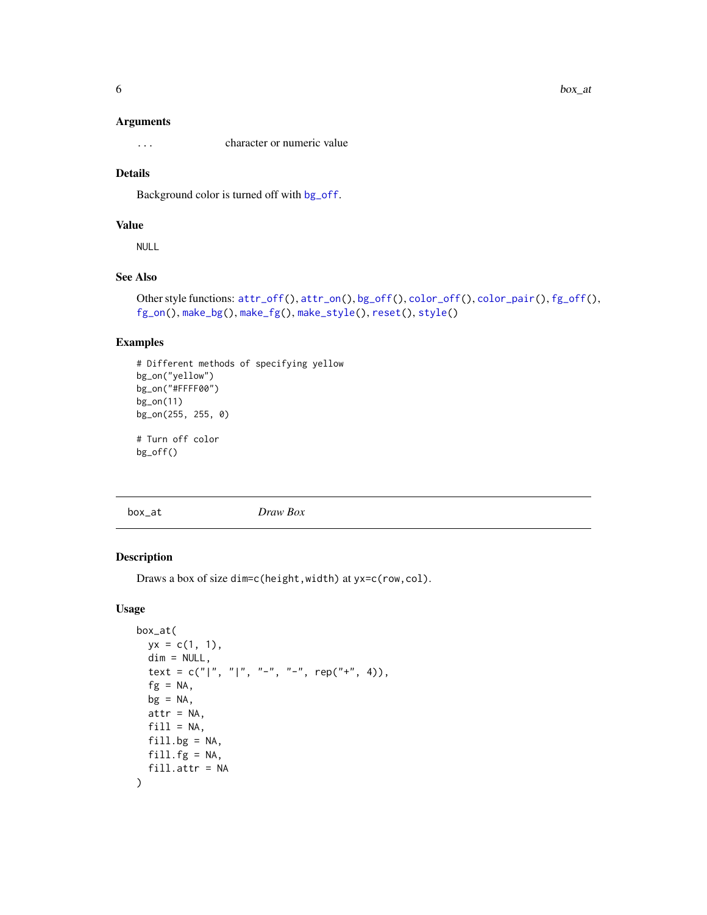#### <span id="page-5-0"></span>Arguments

... character or numeric value

# Details

Background color is turned off with [bg\\_off](#page-4-1).

# Value

NULL

# See Also

```
Other style functions: color_pair(), fg_of(),fg_on(), make_bg(), make_fg(), make_style(), reset(), style()
```
# Examples

```
# Different methods of specifying yellow
bg_on("yellow")
bg_on("#FFFF00")
bg_on(11)
bg_on(255, 255, 0)
# Turn off color
bg_off()
```
<span id="page-5-1"></span>box\_at *Draw Box*

# Description

Draws a box of size dim=c(height,width) at yx=c(row,col).

# Usage

```
box_at(
 yx = c(1, 1),dim = NULL,text = c("|", "|", "-", "-", "ep("+", 4)),fg = NA,
 bg = NA,
 attr = NA,
 fill = NA,
 fill.bg = NA,
 fill.fg = NA,
 fill.attr = NA
)
```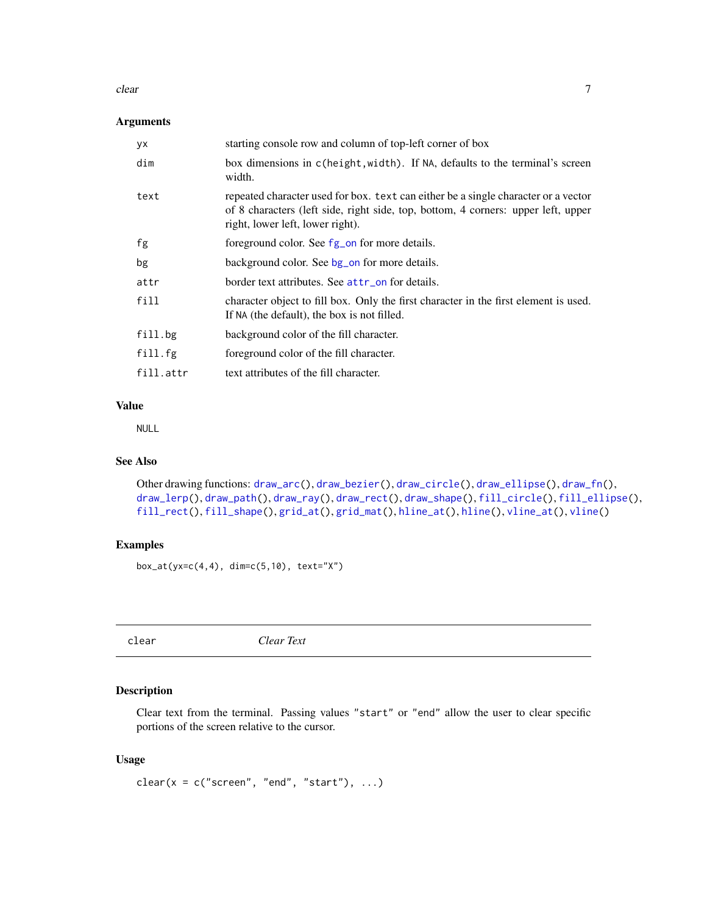#### <span id="page-6-0"></span>clear 7

# Arguments

| уx        | starting console row and column of top-left corner of box                                                                                                                                                   |
|-----------|-------------------------------------------------------------------------------------------------------------------------------------------------------------------------------------------------------------|
| dim       | box dimensions in c(height, width). If NA, defaults to the terminal's screen<br>width.                                                                                                                      |
| text      | repeated character used for box. text can either be a single character or a vector<br>of 8 characters (left side, right side, top, bottom, 4 corners: upper left, upper<br>right, lower left, lower right). |
| fg        | foreground color. See fg_on for more details.                                                                                                                                                               |
| bg        | background color. See bg_on for more details.                                                                                                                                                               |
| attr      | border text attributes. See attr_on for details.                                                                                                                                                            |
| fill      | character object to fill box. Only the first character in the first element is used.<br>If NA (the default), the box is not filled.                                                                         |
| fill.bg   | background color of the fill character.                                                                                                                                                                     |
| fill.fg   | foreground color of the fill character.                                                                                                                                                                     |
| fill.attr | text attributes of the fill character.                                                                                                                                                                      |

# Value

NULL

# See Also

```
Other drawing functions: draw_arc(), draw_bezier(), draw_circle(), draw_ellipse(), draw_fn(),
draw_lerp(), draw_path(), draw_ray(), draw_rect(), draw_shape(), fill_circle(), fill_ellipse(),
fill_rect(), fill_shape(), grid_at(), grid_mat(), hline_at(), hline(), vline_at(), vline()
```
# Examples

box\_at(yx=c(4,4), dim=c(5,10), text="X")

clear *Clear Text*

# Description

Clear text from the terminal. Passing values "start" or "end" allow the user to clear specific portions of the screen relative to the cursor.

# Usage

clear( $x = c("screen", "end", "start"), ...$ )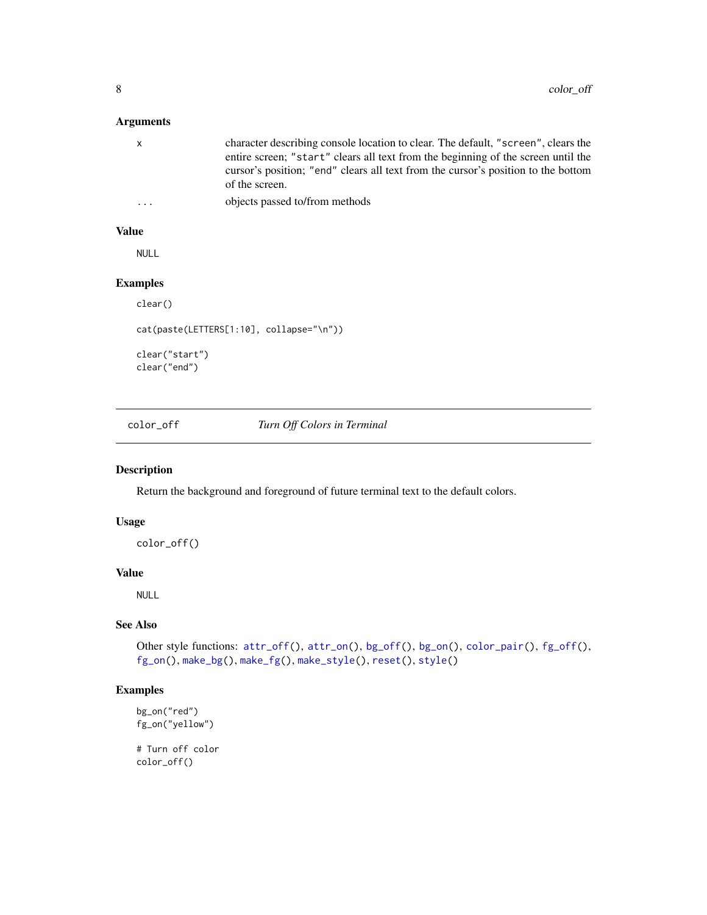# <span id="page-7-0"></span>Arguments

| $\mathsf{X}$ | character describing console location to clear. The default, "screen", clears the |
|--------------|-----------------------------------------------------------------------------------|
|              | entire screen; "start" clears all text from the beginning of the screen until the |
|              | cursor's position; "end" clears all text from the cursor's position to the bottom |
|              | of the screen.                                                                    |
| $\ddotsc$    | objects passed to/from methods                                                    |

#### Value

NULL

# Examples

```
clear()
```

```
cat(paste(LETTERS[1:10], collapse="\n"))
```
clear("start") clear("end")

<span id="page-7-1"></span>color\_off *Turn Off Colors in Terminal*

# Description

Return the background and foreground of future terminal text to the default colors.

# Usage

color\_off()

# Value

NULL

# See Also

```
Other style functions: attr_of(f), attr_an(), bg_of(f), bg_an(), color\_pair(), fg_of(f),
fg_on(), make_bg(), make_fg(), make_style(), reset(), style()
```
# Examples

```
bg_on("red")
fg_on("yellow")
```
# Turn off color color\_off()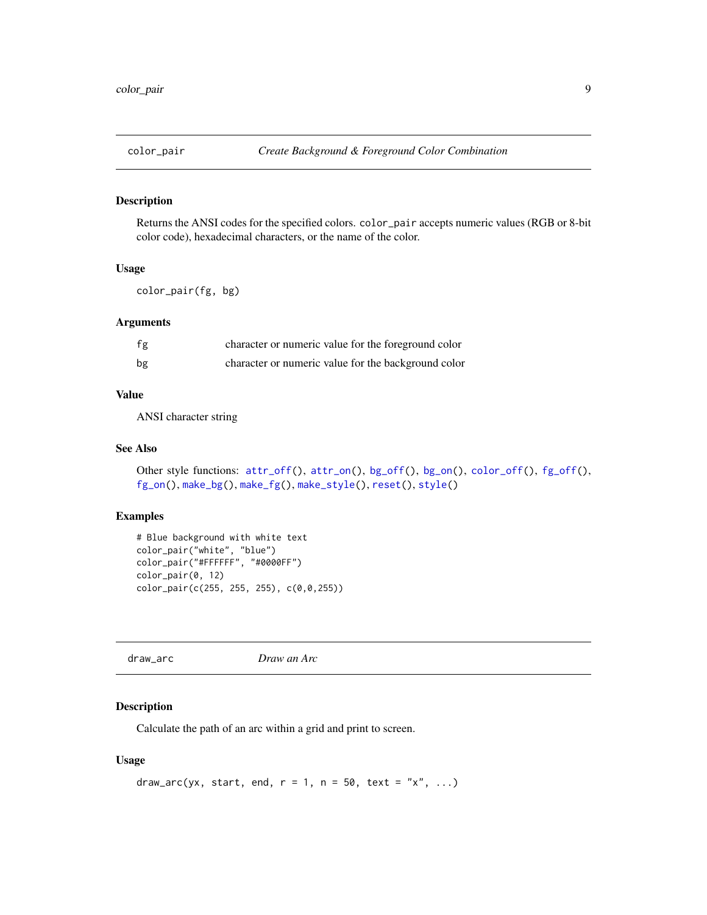<span id="page-8-1"></span><span id="page-8-0"></span>

Returns the ANSI codes for the specified colors. color\_pair accepts numeric values (RGB or 8-bit color code), hexadecimal characters, or the name of the color.

#### Usage

```
color_pair(fg, bg)
```
#### Arguments

| fg | character or numeric value for the foreground color |
|----|-----------------------------------------------------|
| bg | character or numeric value for the background color |

# Value

ANSI character string

#### See Also

```
Other style functions: attr_of(), attr\_on(), bg_of(), bg\_on(), color_of(), fg_of(),
fg_on(), make_bg(), make_fg(), make_style(), reset(), style()
```
# Examples

```
# Blue background with white text
color_pair("white", "blue")
color_pair("#FFFFFF", "#0000FF")
color_pair(0, 12)
color_pair(c(255, 255, 255), c(0,0,255))
```
<span id="page-8-2"></span>draw\_arc *Draw an Arc*

# Description

Calculate the path of an arc within a grid and print to screen.

# Usage

```
draw_arc(yx, start, end, r = 1, n = 50, text = "x", ...)
```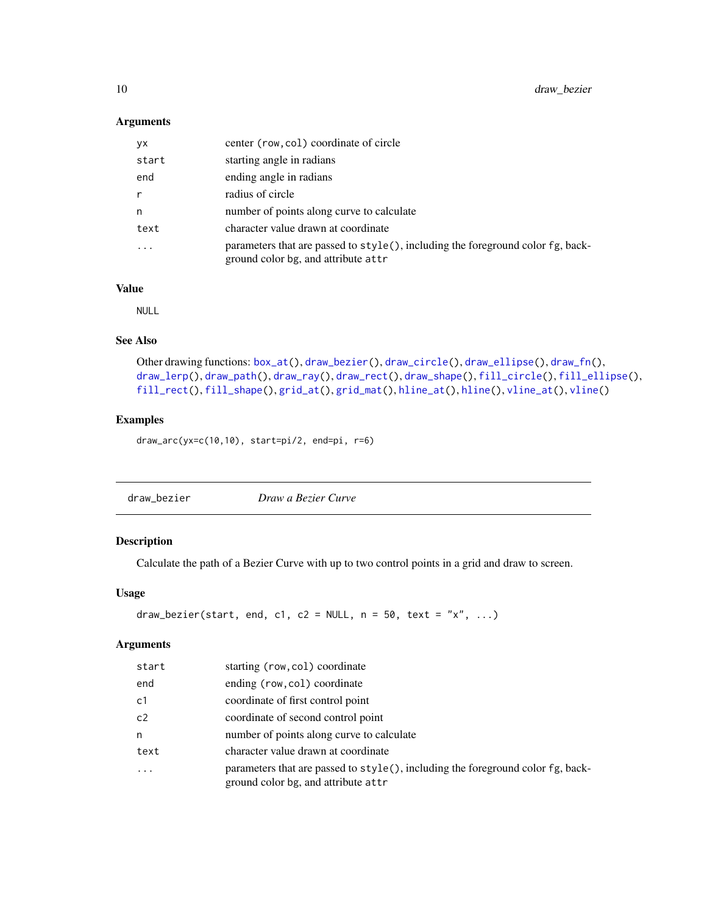## <span id="page-9-0"></span>Arguments

| <b>yx</b>    | center (row, col) coordinate of circle                                                                                 |
|--------------|------------------------------------------------------------------------------------------------------------------------|
| start        | starting angle in radians                                                                                              |
| end          | ending angle in radians                                                                                                |
| $\mathsf{r}$ | radius of circle                                                                                                       |
| n            | number of points along curve to calculate                                                                              |
| text         | character value drawn at coordinate                                                                                    |
| $\ddotsc$    | parameters that are passed to style(), including the foreground color fg, back-<br>ground color bg, and attribute attr |

# Value

NULL

# See Also

```
Other drawing functions: box_at(), draw_bezier(), draw_circle(), draw_ellipse(), draw_fn(),
draw_lerp(), draw_path(), draw_ray(), draw_rect(), draw_shape(), fill_circle(), fill_ellipse(),
fill_rect(), fill_shape(), grid_at(), grid_mat(), hline_at(), hline(), vline_at(), vline()
```
# Examples

draw\_arc(yx=c(10,10), start=pi/2, end=pi, r=6)

<span id="page-9-1"></span>

# Description

Calculate the path of a Bezier Curve with up to two control points in a grid and draw to screen.

# Usage

```
draw_bezier(start, end, c1, c2 = NULL, n = 50, text = "x", ...)
```
#### Arguments

| start          | starting (row, col) coordinate                                                                                         |
|----------------|------------------------------------------------------------------------------------------------------------------------|
| end            | ending (row, col) coordinate                                                                                           |
| c <sub>1</sub> | coordinate of first control point                                                                                      |
| c2             | coordinate of second control point                                                                                     |
| n              | number of points along curve to calculate                                                                              |
| text           | character value drawn at coordinate                                                                                    |
| $\ddotsc$      | parameters that are passed to style(), including the foreground color fg, back-<br>ground color bg, and attribute attr |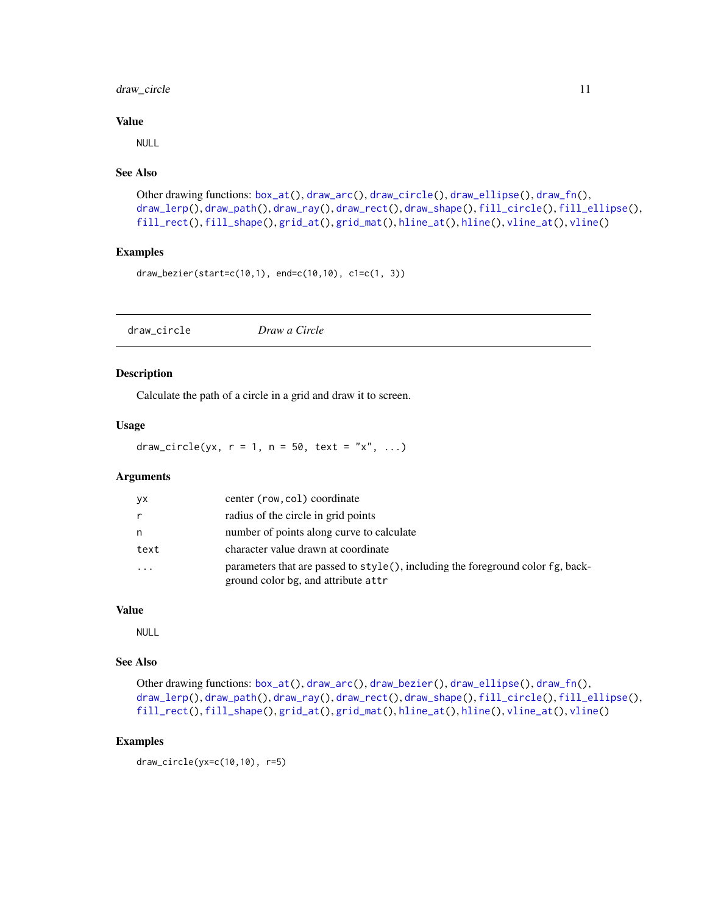# <span id="page-10-0"></span>draw\_circle 11

## Value

NULL

#### See Also

```
Other drawing functions: box_at(), draw_arc(), draw_circle(), draw_ellipse(), draw_fn(),
draw_lerp(), draw_path(), draw_ray(), draw_rect(), draw_shape(), fill_circle(), fill_ellipse(),
fill_rect(), fill_shape(), grid_at(), grid_mat(), hline_at(), hline(), vline_at(), vline()
```
# Examples

```
draw_bezier(start=c(10,1), end=c(10,10), c1=c(1, 3))
```
<span id="page-10-1"></span>draw\_circle *Draw a Circle*

# Description

Calculate the path of a circle in a grid and draw it to screen.

# Usage

draw\_circle(yx,  $r = 1$ ,  $n = 50$ , text = "x", ...)

# Arguments

| yx      | center (row, col) coordinate                                                                                           |
|---------|------------------------------------------------------------------------------------------------------------------------|
| r       | radius of the circle in grid points                                                                                    |
| n       | number of points along curve to calculate                                                                              |
| text    | character value drawn at coordinate                                                                                    |
| $\cdot$ | parameters that are passed to style(), including the foreground color fg, back-<br>ground color bg, and attribute attr |

# Value

NULL

#### See Also

```
Other drawing functions: box_at(), draw_arc(), draw_bezier(), draw_ellipse(), draw_fn(),
draw_lerp(), draw_path(), draw_ray(), draw_rect(), draw_shape(), fill_circle(), fill_ellipse(),
fill_rect(), fill_shape(), grid_at(), grid_mat(), hline_at(), hline(), vline_at(), vline()
```

```
draw_circle(yx=c(10,10), r=5)
```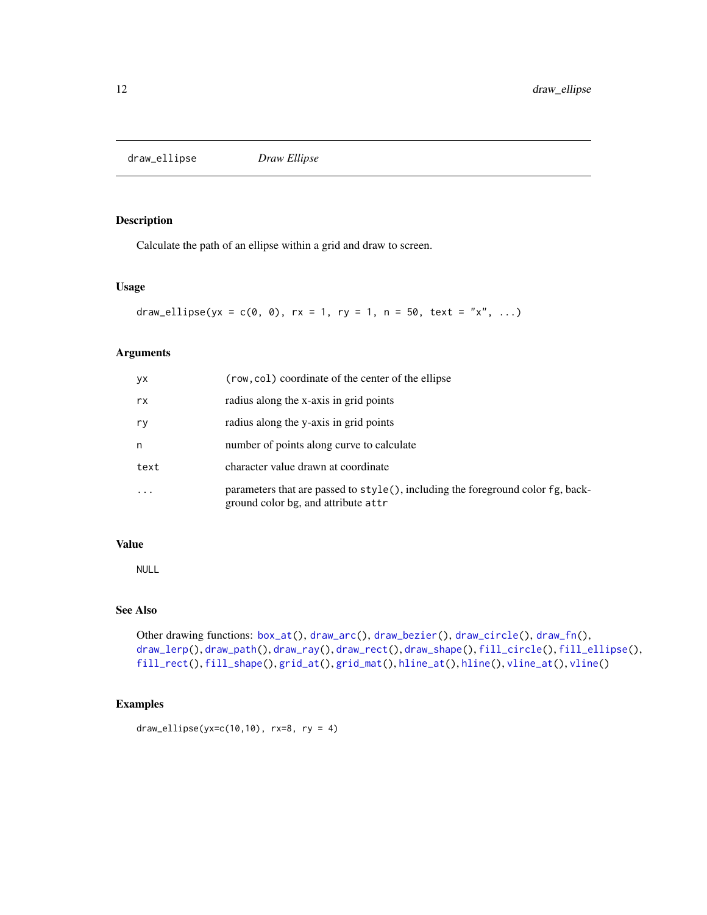<span id="page-11-1"></span><span id="page-11-0"></span>draw\_ellipse *Draw Ellipse*

# Description

Calculate the path of an ellipse within a grid and draw to screen.

#### Usage

draw\_ellipse(yx =  $c(0, 0)$ , rx = 1, ry = 1, n = 50, text = "x", ...)

# Arguments

| уx        | (row, col) coordinate of the center of the ellipse                                                                     |
|-----------|------------------------------------------------------------------------------------------------------------------------|
| rx        | radius along the x-axis in grid points                                                                                 |
| ry        | radius along the y-axis in grid points                                                                                 |
| n         | number of points along curve to calculate                                                                              |
| text      | character value drawn at coordinate                                                                                    |
| $\ddotsc$ | parameters that are passed to style(), including the foreground color fg, back-<br>ground color bg, and attribute attr |

# Value

NULL

# See Also

```
Other drawing functions: box_at(), draw_arc(), draw_bezier(), draw_circle(), draw_fn(),
draw_lerp(), draw_path(), draw_ray(), draw_rect(), draw_shape(), fill_circle(), fill_ellipse(),
fill_rect(), fill_shape(), grid_at(), grid_mat(), hline_at(), hline(), vline_at(), vline()
```

```
draw_ellipse(yx=c(10,10), rx=8, ry = 4)
```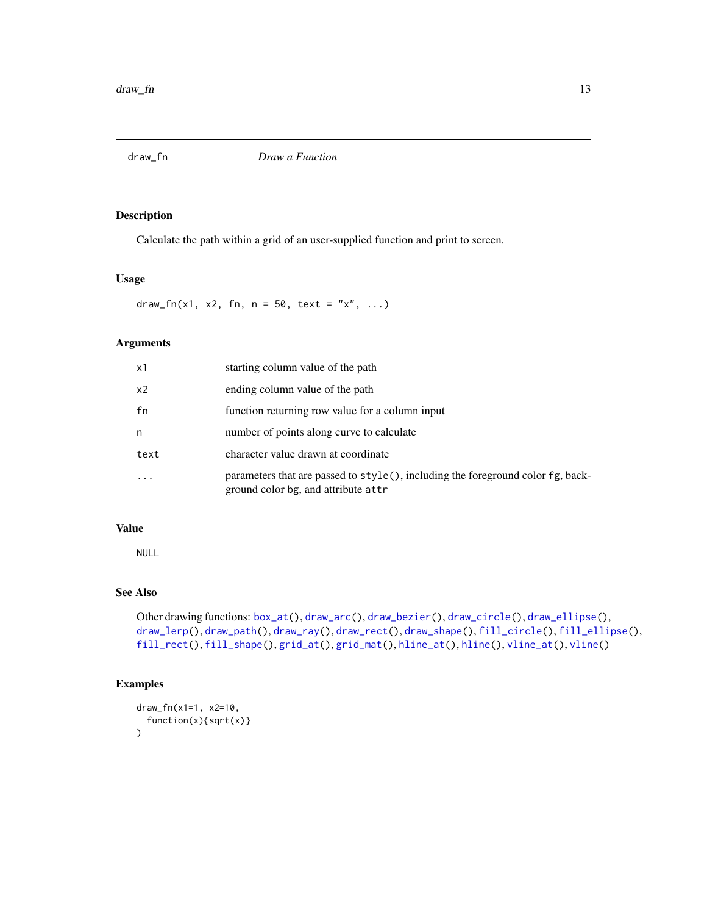<span id="page-12-1"></span><span id="page-12-0"></span>

Calculate the path within a grid of an user-supplied function and print to screen.

# Usage

draw\_fn(x1, x2, fn, n = 50, text = "x", ...)

# Arguments

| x1             | starting column value of the path                                                                                      |
|----------------|------------------------------------------------------------------------------------------------------------------------|
| x <sub>2</sub> | ending column value of the path                                                                                        |
| fn             | function returning row value for a column input                                                                        |
| n              | number of points along curve to calculate                                                                              |
| text           | character value drawn at coordinate                                                                                    |
| $\ddotsc$      | parameters that are passed to style(), including the foreground color fg, back-<br>ground color bg, and attribute attr |

# Value

NULL

# See Also

```
Other drawing functions: box_at(), draw_arc(), draw_bezier(), draw_circle(), draw_ellipse(),
draw_lerp(), draw_path(), draw_ray(), draw_rect(), draw_shape(), fill_circle(), fill_ellipse(),
fill_rect(), fill_shape(), grid_at(), grid_mat(), hline_at(), hline(), vline_at(), vline()
```

```
draw_fn(x1=1, x2=10,
  function(x){sqrt(x)}
)
```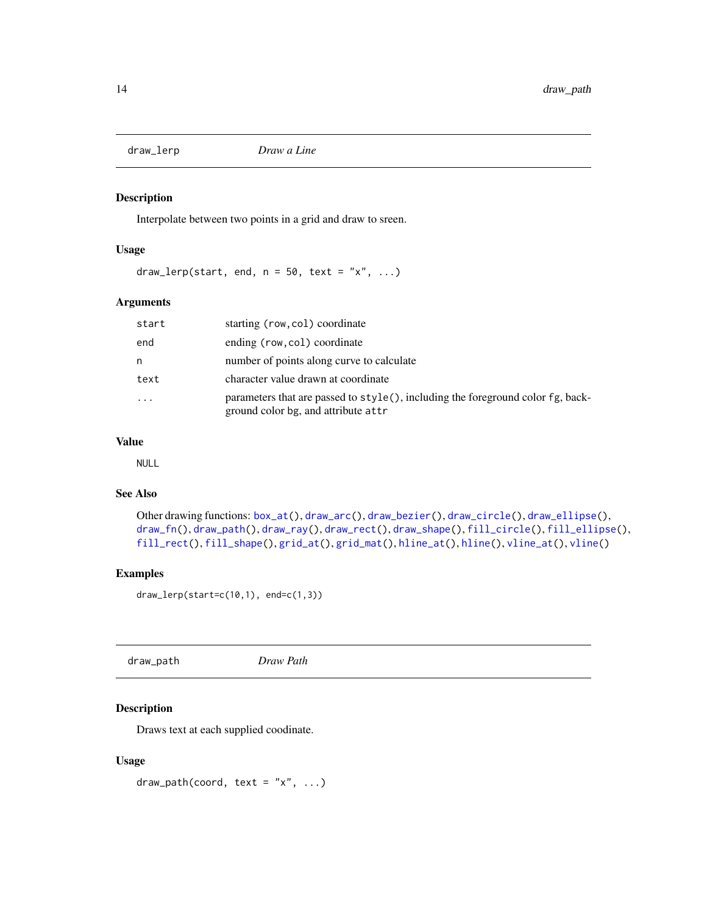<span id="page-13-1"></span><span id="page-13-0"></span>

Interpolate between two points in a grid and draw to sreen.

#### Usage

draw\_lerp(start, end,  $n = 50$ , text = "x", ...)

# Arguments

| start    | starting (row, col) coordinate                                                                                         |
|----------|------------------------------------------------------------------------------------------------------------------------|
| end      | ending (row, col) coordinate                                                                                           |
| n        | number of points along curve to calculate                                                                              |
| text     | character value drawn at coordinate                                                                                    |
| $\cdots$ | parameters that are passed to style(), including the foreground color fg, back-<br>ground color bg, and attribute attr |

#### Value

NULL

# See Also

```
Other drawing functions: box_at(), draw_arc(), draw_bezier(), draw_circle(), draw_ellipse(),
draw_fn(), draw_path(), draw_ray(), draw_rect(), draw_shape(), fill_circle(), fill_ellipse(),
fill_rect(), fill_shape(), grid_at(), grid_mat(), hline_at(), hline(), vline_at(), vline()
```
# Examples

draw\_lerp(start=c(10,1), end=c(1,3))

<span id="page-13-2"></span>

| draw_path | Draw Path |  |
|-----------|-----------|--|
|-----------|-----------|--|

# Description

Draws text at each supplied coodinate.

#### Usage

draw\_path(coord, text = " $x$ ", ...)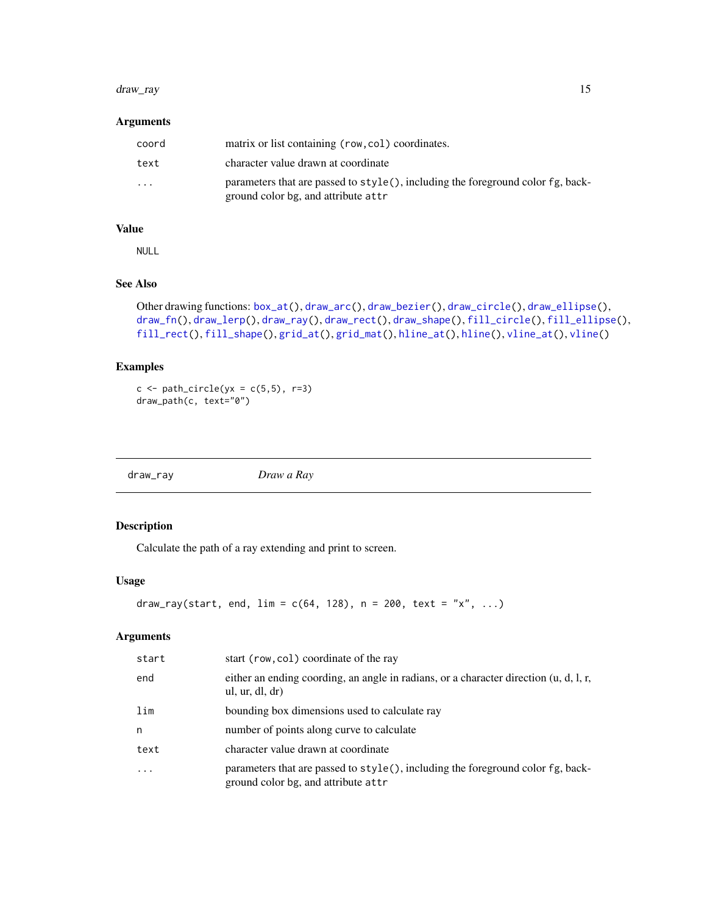#### <span id="page-14-0"></span>draw\_ray 15

#### Arguments

| coord    | matrix or list containing (row, col) coordinates.                                                                           |
|----------|-----------------------------------------------------------------------------------------------------------------------------|
| text     | character value drawn at coordinate                                                                                         |
| $\cdots$ | parameters that are passed to $style($ , including the foreground color $fg$ , back-<br>ground color bg, and attribute attr |

## Value

NULL

#### See Also

```
Other drawing functions: box_at(), draw_arc(), draw_bezier(), draw_circle(), draw_ellipse(),
draw_fn(), draw_lerp(), draw_ray(), draw_rect(), draw_shape(), fill_circle(), fill_ellipse(),
fill_rect(), fill_shape(), grid_at(), grid_mat(), hline_at(), hline(), vline_at(), vline()
```
#### Examples

```
c \leftarrow path\_circle(yx = c(5,5), r=3)draw_path(c, text="0")
```
<span id="page-14-1"></span>

draw\_ray *Draw a Ray*

# Description

Calculate the path of a ray extending and print to screen.

#### Usage

draw\_ray(start, end,  $\lim = c(64, 128)$ , n = 200, text = "x", ...)

# Arguments

| start     | start (row, col) coordinate of the ray                                                                                 |
|-----------|------------------------------------------------------------------------------------------------------------------------|
| end       | either an ending coording, an angle in radians, or a character direction (u, d, l, r,<br>ul, ur, dl, dr)               |
| lim       | bounding box dimensions used to calculate ray                                                                          |
| n         | number of points along curve to calculate                                                                              |
| text      | character value drawn at coordinate                                                                                    |
| $\ddotsc$ | parameters that are passed to style(), including the foreground color fg, back-<br>ground color bg, and attribute attr |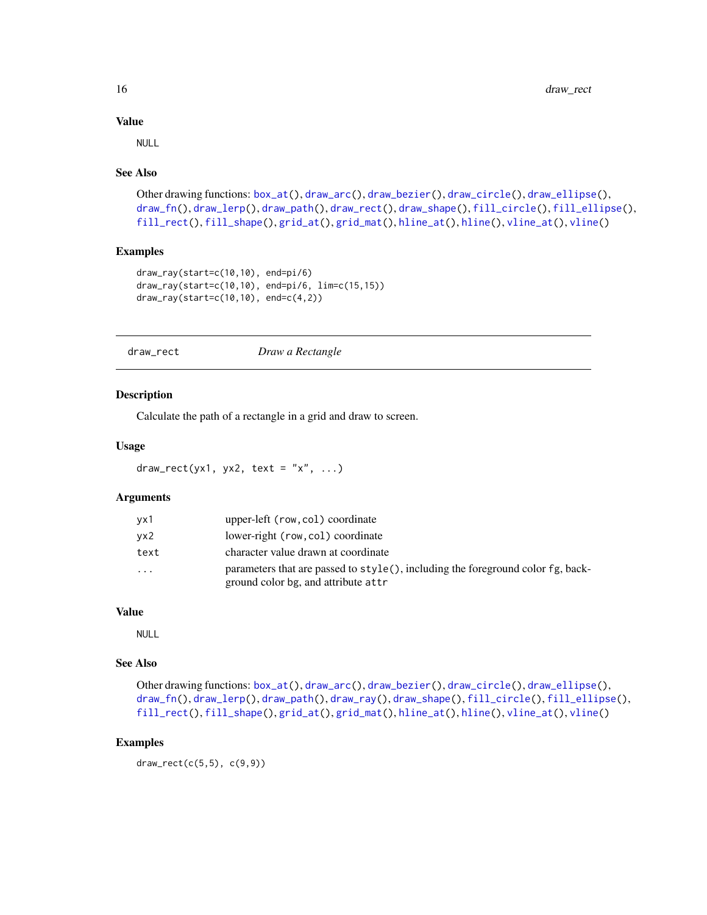#### Value

NULL

#### See Also

```
Other drawing functions: box_at(), draw_arc(), draw_bezier(), draw_circle(), draw_ellipse(),
draw_fn(), draw_lerp(), draw_path(), draw_rect(), draw_shape(), fill_circle(), fill_ellipse(),
fill_rect(), fill_shape(), grid_at(), grid_mat(), hline_at(), hline(), vline_at(), vline()
```
# Examples

```
draw_ray(start=c(10,10), end=pi/6)
draw_ray(start=c(10,10), end=pi/6, lim=c(15,15))
draw_ray(start=c(10,10), end=c(4,2))
```
<span id="page-15-1"></span>draw\_rect *Draw a Rectangle*

Calculate the path of a rectangle in a grid and draw to screen.

#### Usage

draw\_rect(yx1, yx2, text = "x", ...)

# Arguments

Description

| vx1  | upper-left (row, col) coordinate                                                                                       |
|------|------------------------------------------------------------------------------------------------------------------------|
| vx2  | lower-right (row, col) coordinate                                                                                      |
| text | character value drawn at coordinate                                                                                    |
| .    | parameters that are passed to style(), including the foreground color fg, back-<br>ground color bg, and attribute attr |

#### Value

NULL

# See Also

Other drawing functions: [box\\_at\(](#page-5-1)), [draw\\_arc\(](#page-8-2)), [draw\\_bezier\(](#page-9-1)), [draw\\_circle\(](#page-10-1)), [draw\\_ellipse\(](#page-11-1)), [draw\\_fn\(](#page-12-1)), [draw\\_lerp\(](#page-13-1)), [draw\\_path\(](#page-13-2)), [draw\\_ray\(](#page-14-1)), [draw\\_shape\(](#page-16-1)), [fill\\_circle\(](#page-19-1)), [fill\\_ellipse\(](#page-20-1)), [fill\\_rect\(](#page-21-1)), [fill\\_shape\(](#page-22-1)), [grid\\_at\(](#page-24-1)), [grid\\_mat\(](#page-25-1)), [hline\\_at\(](#page-27-1)), [hline\(](#page-27-2)), [vline\\_at\(](#page-47-1)), [vline\(](#page-47-2))

# Examples

draw\_rect(c(5,5), c(9,9))

<span id="page-15-0"></span>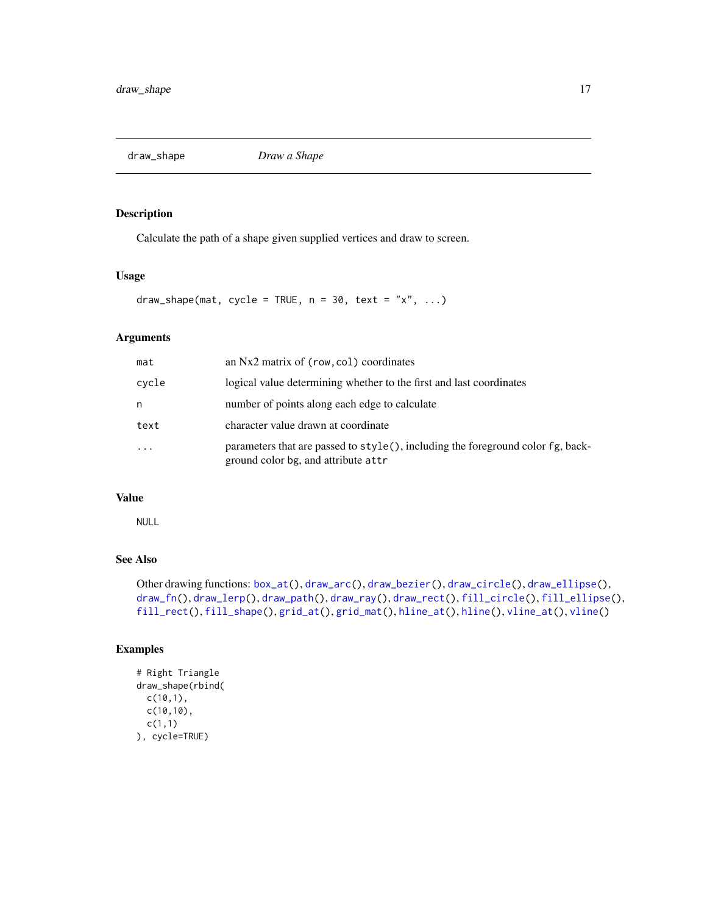<span id="page-16-1"></span><span id="page-16-0"></span>draw\_shape *Draw a Shape*

# Description

Calculate the path of a shape given supplied vertices and draw to screen.

#### Usage

draw\_shape(mat, cycle = TRUE,  $n = 30$ , text = "x", ...)

# Arguments

| mat      | an Nx2 matrix of (row, col) coordinates                                                                                |
|----------|------------------------------------------------------------------------------------------------------------------------|
| cycle    | logical value determining whether to the first and last coordinates                                                    |
| n        | number of points along each edge to calculate                                                                          |
| text     | character value drawn at coordinate                                                                                    |
| $\cdots$ | parameters that are passed to style(), including the foreground color fg, back-<br>ground color bg, and attribute attr |

# Value

NULL

# See Also

Other drawing functions: [box\\_at\(](#page-5-1)), [draw\\_arc\(](#page-8-2)), [draw\\_bezier\(](#page-9-1)), [draw\\_circle\(](#page-10-1)), [draw\\_ellipse\(](#page-11-1)), [draw\\_fn\(](#page-12-1)), [draw\\_lerp\(](#page-13-1)), [draw\\_path\(](#page-13-2)), [draw\\_ray\(](#page-14-1)), [draw\\_rect\(](#page-15-1)), [fill\\_circle\(](#page-19-1)), [fill\\_ellipse\(](#page-20-1)), [fill\\_rect\(](#page-21-1)), [fill\\_shape\(](#page-22-1)), [grid\\_at\(](#page-24-1)), [grid\\_mat\(](#page-25-1)), [hline\\_at\(](#page-27-1)), [hline\(](#page-27-2)), [vline\\_at\(](#page-47-1)), [vline\(](#page-47-2))

```
# Right Triangle
draw_shape(rbind(
 c(10,1),
 c(10,10),
  c(1,1)
), cycle=TRUE)
```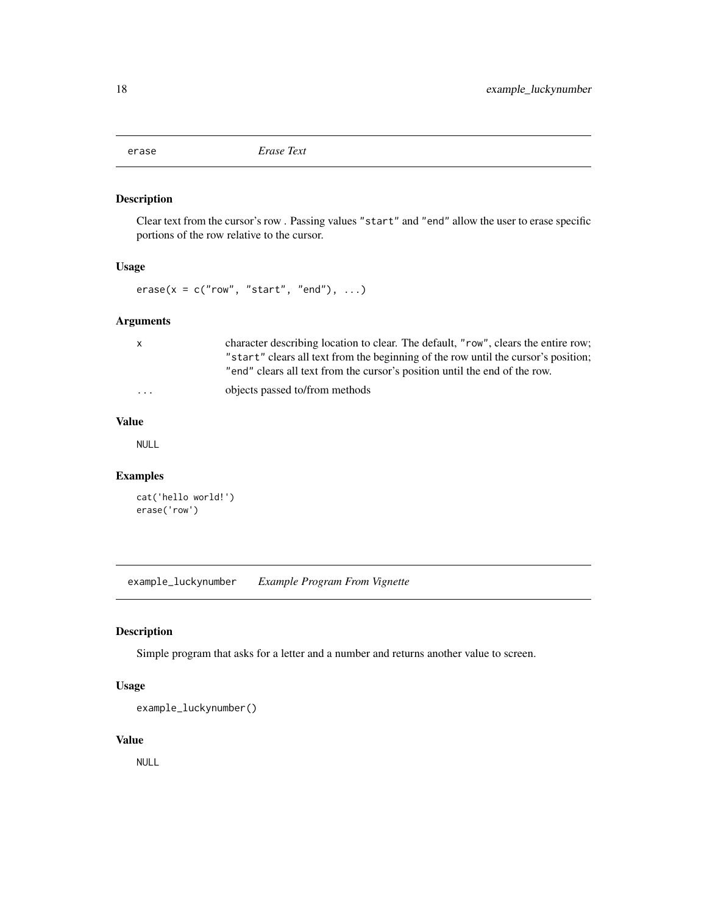<span id="page-17-0"></span>

Clear text from the cursor's row . Passing values "start" and "end" allow the user to erase specific portions of the row relative to the cursor.

# Usage

 $\text{erase}(x = c("row", "start", "end"), ...)$ 

# Arguments

| $\mathsf{x}$ | character describing location to clear. The default, "row", clears the entire row; |
|--------------|------------------------------------------------------------------------------------|
|              | "start" clears all text from the beginning of the row until the cursor's position; |
|              | "end" clears all text from the cursor's position until the end of the row.         |
| .            | objects passed to/from methods                                                     |

#### Value

NULL

# Examples

```
cat('hello world!')
erase('row')
```
example\_luckynumber *Example Program From Vignette*

# Description

Simple program that asks for a letter and a number and returns another value to screen.

# Usage

```
example_luckynumber()
```
# Value

NULL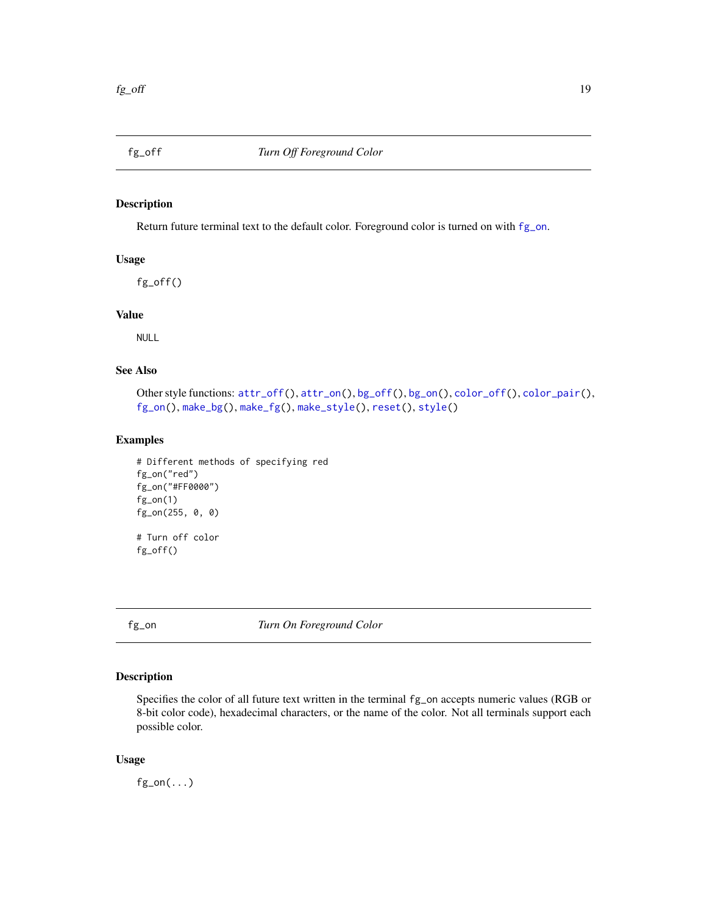<span id="page-18-1"></span><span id="page-18-0"></span>

Return future terminal text to the default color. Foreground color is turned on with [fg\\_on](#page-18-2).

# Usage

fg\_off()

# Value

NULL

# See Also

```
Other style functions: attr_of(f), attr\_on(), bg_of(f), bg\_on(), color_of(f), color\_pair(),fg_on(), make_bg(), make_fg(), make_style(), reset(), style()
```
# Examples

```
# Different methods of specifying red
fg_on("red")
fg_on("#FF0000")
fg\_on(1)fg_on(255, 0, 0)
# Turn off color
fg_off()
```
<span id="page-18-2"></span>fg\_on *Turn On Foreground Color*

# Description

Specifies the color of all future text written in the terminal fg\_on accepts numeric values (RGB or 8-bit color code), hexadecimal characters, or the name of the color. Not all terminals support each possible color.

#### Usage

 $fg\_on(...)$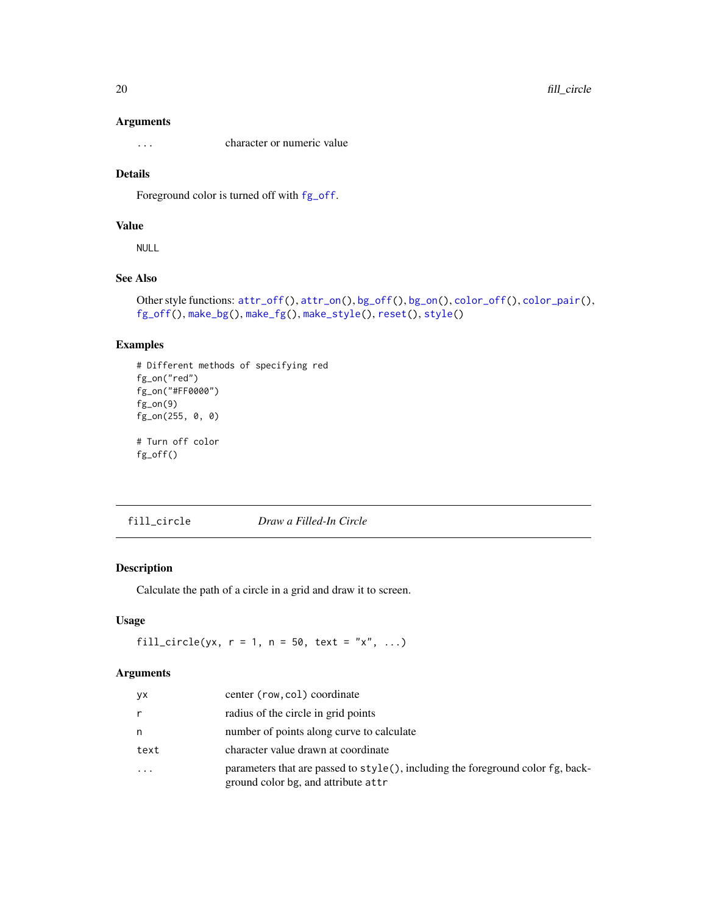#### <span id="page-19-0"></span>Arguments

... character or numeric value

# Details

Foreground color is turned off with [fg\\_off](#page-18-1).

#### Value

NULL

# See Also

```
Other style functions: attr_off(), attr_on(), bg_off(), bg_on(), color_off(), color_pair(),
fg_off(), make_bg(), make_fg(), make_style(), reset(), style()
```
# Examples

```
# Different methods of specifying red
fg_on("red")
fg_on("#FF0000")
fg_on(9)
fg_on(255, 0, 0)
# Turn off color
fg_off()
```
<span id="page-19-1"></span>fill\_circle *Draw a Filled-In Circle*

#### Description

Calculate the path of a circle in a grid and draw it to screen.

### Usage

fill\_circle(yx,  $r = 1$ ,  $n = 50$ , text = "x", ...)

# Arguments

| <b>yx</b>               | center (row, col) coordinate                                                                                                 |
|-------------------------|------------------------------------------------------------------------------------------------------------------------------|
| r                       | radius of the circle in grid points                                                                                          |
| n                       | number of points along curve to calculate                                                                                    |
| text                    | character value drawn at coordinate                                                                                          |
| $\cdot$ $\cdot$ $\cdot$ | parameters that are passed to $style()$ , including the foreground color $fg$ , back-<br>ground color bg, and attribute attr |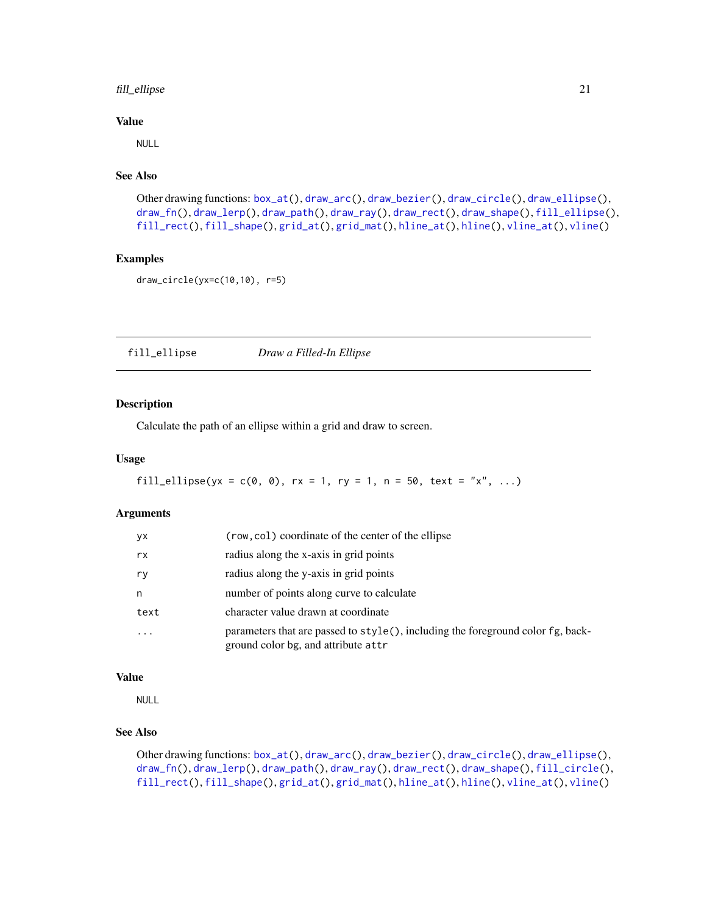# <span id="page-20-0"></span>fill\_ellipse 21

#### Value

NULL

# See Also

```
Other drawing functions: box_at(), draw_arc(), draw_bezier(), draw_circle(), draw_ellipse(),
draw_fn(), draw_lerp(), draw_path(), draw_ray(), draw_rect(), draw_shape(), fill_ellipse(),
fill_rect(), fill_shape(), grid_at(), grid_mat(), hline_at(), hline(), vline_at(), vline()
```
#### Examples

```
draw_circle(yx=c(10,10), r=5)
```
<span id="page-20-1"></span>fill\_ellipse *Draw a Filled-In Ellipse*

# Description

Calculate the path of an ellipse within a grid and draw to screen.

#### Usage

```
fill_ellipse(yx = c(0, 0), rx = 1, ry = 1, n = 50, text = "x", ...)
```
# Arguments

| <b>yx</b> | (row, col) coordinate of the center of the ellipse                                                                     |
|-----------|------------------------------------------------------------------------------------------------------------------------|
| rx        | radius along the x-axis in grid points                                                                                 |
| ry        | radius along the y-axis in grid points                                                                                 |
| n         | number of points along curve to calculate                                                                              |
| text      | character value drawn at coordinate                                                                                    |
|           | parameters that are passed to style(), including the foreground color fg, back-<br>ground color bg, and attribute attr |

#### Value

NULL

# See Also

Other drawing functions: [box\\_at\(](#page-5-1)), [draw\\_arc\(](#page-8-2)), [draw\\_bezier\(](#page-9-1)), [draw\\_circle\(](#page-10-1)), [draw\\_ellipse\(](#page-11-1)), [draw\\_fn\(](#page-12-1)), [draw\\_lerp\(](#page-13-1)), [draw\\_path\(](#page-13-2)), [draw\\_ray\(](#page-14-1)), [draw\\_rect\(](#page-15-1)), [draw\\_shape\(](#page-16-1)), [fill\\_circle\(](#page-19-1)), [fill\\_rect\(](#page-21-1)), [fill\\_shape\(](#page-22-1)), [grid\\_at\(](#page-24-1)), [grid\\_mat\(](#page-25-1)), [hline\\_at\(](#page-27-1)), [hline\(](#page-27-2)), [vline\\_at\(](#page-47-1)), [vline\(](#page-47-2))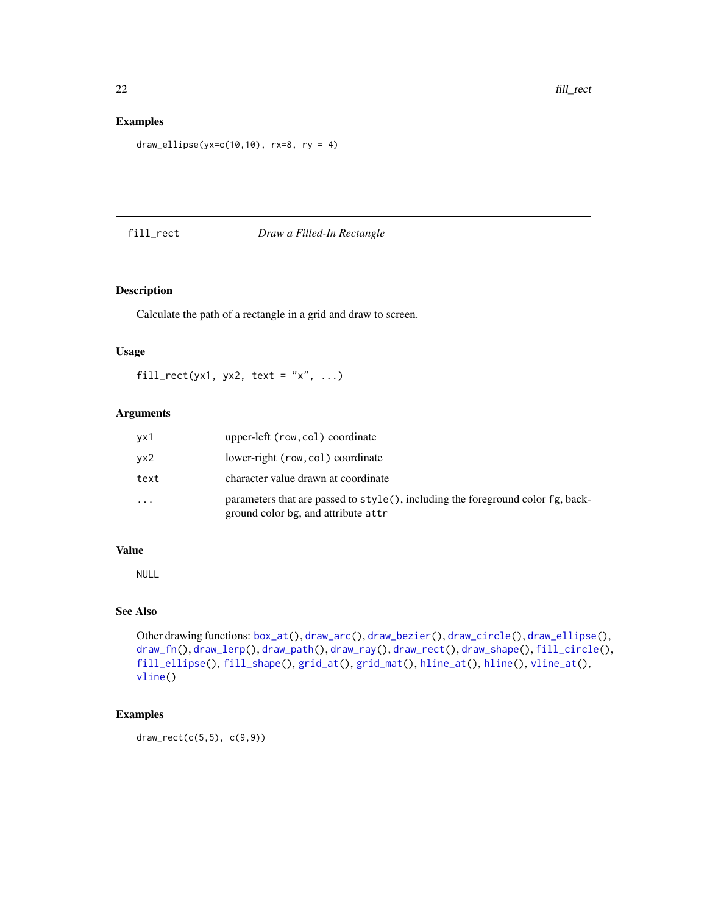# <span id="page-21-0"></span>Examples

```
draw_ellipse(yx=c(10,10), rx=8, ry = 4)
```
# <span id="page-21-1"></span>fill\_rect *Draw a Filled-In Rectangle*

# Description

Calculate the path of a rectangle in a grid and draw to screen.

# Usage

fill\_rect(yx1, yx2, text = "x", ...)

# Arguments

| vx1  | upper-left (row, col) coordinate                                                                                            |
|------|-----------------------------------------------------------------------------------------------------------------------------|
| vx2  | lower-right (row, col) coordinate                                                                                           |
| text | character value drawn at coordinate                                                                                         |
| .    | parameters that are passed to $style($ , including the foreground color $fg$ , back-<br>ground color bg, and attribute attr |

#### Value

NULL

# See Also

```
Other drawing functions: box_at(), draw_arc(), draw_bezier(), draw_circle(), draw_ellipse(),
draw_fn(), draw_lerp(), draw_path(), draw_ray(), draw_rect(), draw_shape(), fill_circle(),
fill_ellipse(), fill_shape(), grid_at(), grid_mat(), hline_at(), hline(), vline_at(),
vline()
```
# Examples

draw\_rect(c(5,5), c(9,9))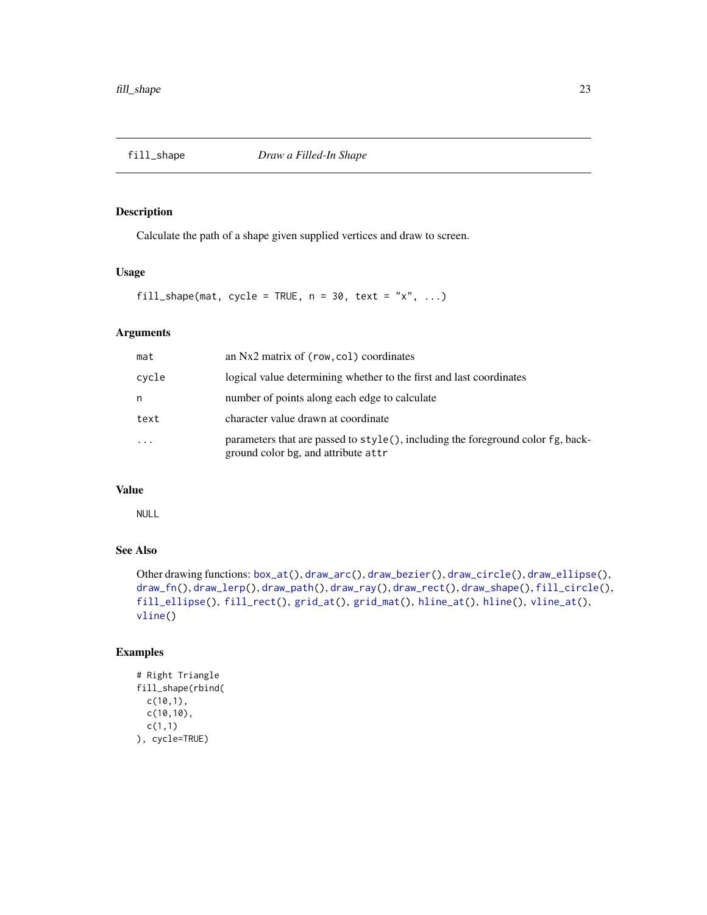<span id="page-22-1"></span><span id="page-22-0"></span>

Calculate the path of a shape given supplied vertices and draw to screen.

# Usage

fill\_shape(mat, cycle = TRUE,  $n = 30$ , text = "x", ...)

# Arguments

| mat        | an Nx2 matrix of (row, col) coordinates                                                                                |
|------------|------------------------------------------------------------------------------------------------------------------------|
| cycle      | logical value determining whether to the first and last coordinates                                                    |
| n          | number of points along each edge to calculate                                                                          |
| text       | character value drawn at coordinate                                                                                    |
| $\ddots$ . | parameters that are passed to style(), including the foreground color fg, back-<br>ground color bg, and attribute attr |

# Value

NULL

#### See Also

Other drawing functions: [box\\_at\(](#page-5-1)), [draw\\_arc\(](#page-8-2)), [draw\\_bezier\(](#page-9-1)), [draw\\_circle\(](#page-10-1)), [draw\\_ellipse\(](#page-11-1)), [draw\\_fn\(](#page-12-1)), [draw\\_lerp\(](#page-13-1)), [draw\\_path\(](#page-13-2)), [draw\\_ray\(](#page-14-1)), [draw\\_rect\(](#page-15-1)), [draw\\_shape\(](#page-16-1)), [fill\\_circle\(](#page-19-1)), [fill\\_ellipse\(](#page-20-1)), [fill\\_rect\(](#page-21-1)), [grid\\_at\(](#page-24-1)), [grid\\_mat\(](#page-25-1)), [hline\\_at\(](#page-27-1)), [hline\(](#page-27-2)), [vline\\_at\(](#page-47-1)), [vline\(](#page-47-2))

```
# Right Triangle
fill_shape(rbind(
  c(10,1),
  c(10,10),
 c(1,1)
), cycle=TRUE)
```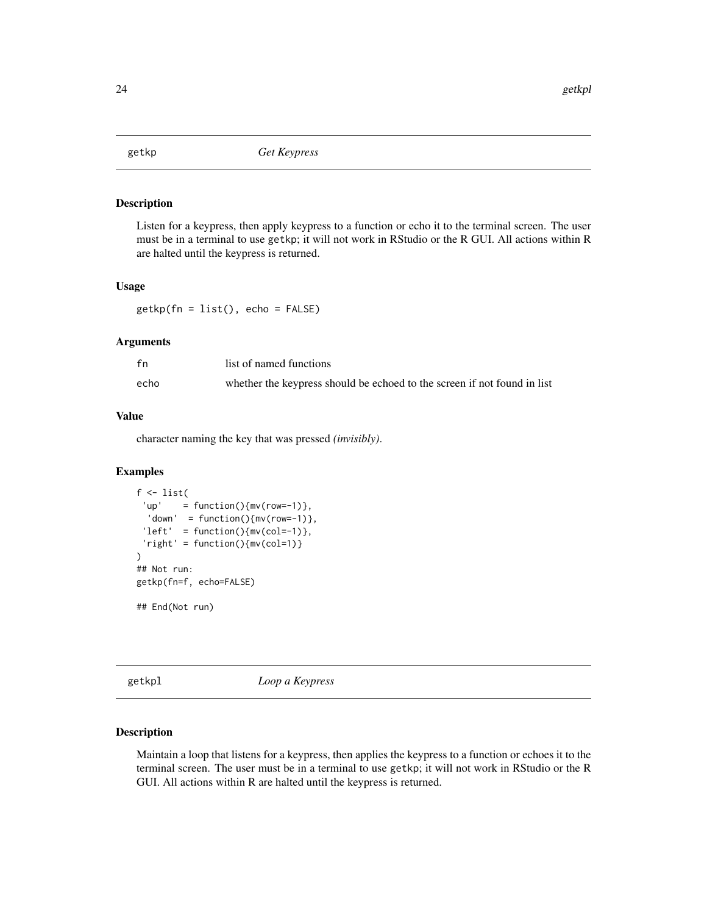<span id="page-23-0"></span>

Listen for a keypress, then apply keypress to a function or echo it to the terminal screen. The user must be in a terminal to use getkp; it will not work in RStudio or the R GUI. All actions within R are halted until the keypress is returned.

#### Usage

getkp(fn = list(), echo = FALSE)

# Arguments

| fn   | list of named functions                                                  |
|------|--------------------------------------------------------------------------|
| echo | whether the keypress should be echoed to the screen if not found in list |

# Value

character naming the key that was pressed *(invisibly)*.

#### Examples

```
f \leftarrow list('up' = function(){mv(row=-1)},
 'down' = function(){mv(row=-1)},
 'left' = function(){mv(col=-1)},
 'right' = function(){mv(col=1)}
\mathcal{L}## Not run:
getkp(fn=f, echo=FALSE)
## End(Not run)
```
getkpl *Loop a Keypress*

#### Description

Maintain a loop that listens for a keypress, then applies the keypress to a function or echoes it to the terminal screen. The user must be in a terminal to use getkp; it will not work in RStudio or the R GUI. All actions within R are halted until the keypress is returned.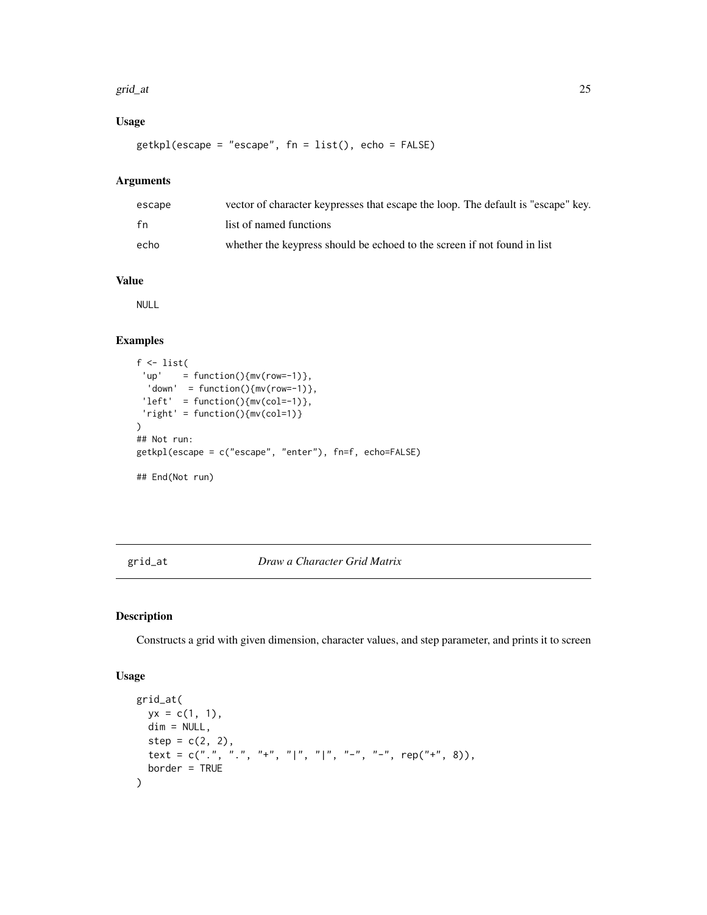#### <span id="page-24-0"></span>grid\_at 25

# Usage

getkpl(escape = "escape", fn = list(), echo = FALSE)

# Arguments

| escape | vector of character keypresses that escape the loop. The default is "escape" key. |
|--------|-----------------------------------------------------------------------------------|
| fn     | list of named functions                                                           |
| echo   | whether the keypress should be echoed to the screen if not found in list          |

# Value

NULL

# Examples

```
f \leftarrow list('up' = function(){mv(row=-1)},
  'down' = function(){mv(row=-1)},
 'left' = function(){mv(col=-1)},
 'right' = function(){mv(col=1)}
)
## Not run:
getkpl(escape = c("escape", "enter"), fn=f, echo=FALSE)
## End(Not run)
```
# <span id="page-24-1"></span>grid\_at *Draw a Character Grid Matrix*

# Description

Constructs a grid with given dimension, character values, and step parameter, and prints it to screen

#### Usage

```
grid_at(
 yx = c(1, 1),dim = NULL,step = c(2, 2),text = c(".", ".", "+", "|", "|", "-", "-", rep("+", 8)),
 border = TRUE
)
```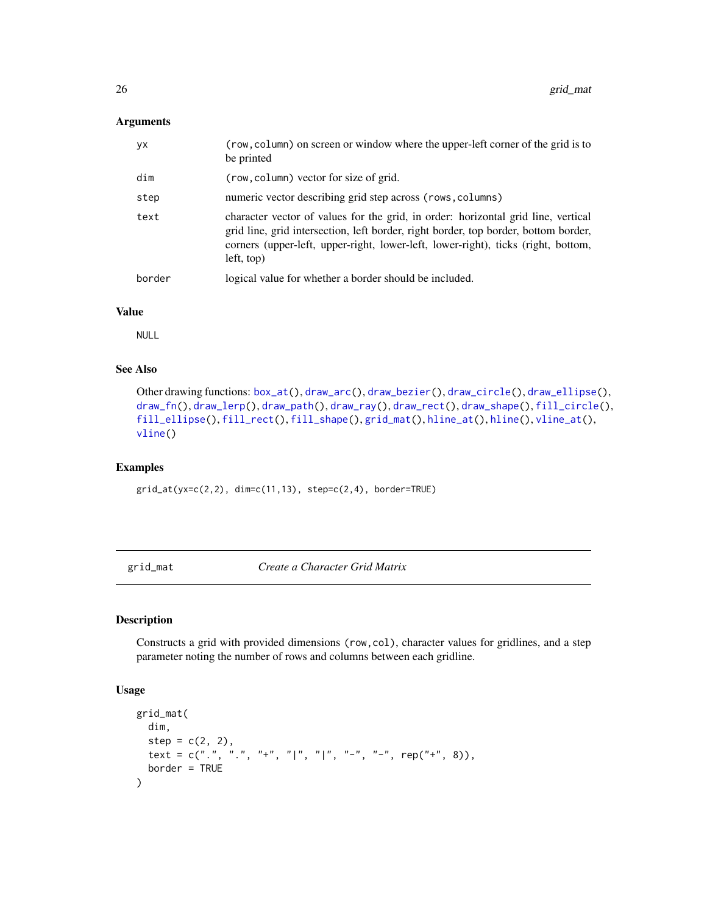#### <span id="page-25-0"></span>Arguments

| уx     | (row, column) on screen or window where the upper-left corner of the grid is to<br>be printed                                                                                                                                                                               |
|--------|-----------------------------------------------------------------------------------------------------------------------------------------------------------------------------------------------------------------------------------------------------------------------------|
| dim    | (row, column) vector for size of grid.                                                                                                                                                                                                                                      |
| step   | numeric vector describing grid step across (rows, columns)                                                                                                                                                                                                                  |
| text   | character vector of values for the grid, in order: horizontal grid line, vertical<br>grid line, grid intersection, left border, right border, top border, bottom border,<br>corners (upper-left, upper-right, lower-left, lower-right), ticks (right, bottom,<br>left, top) |
| border | logical value for whether a border should be included.                                                                                                                                                                                                                      |

#### Value

NULL

# See Also

```
Other drawing functions: box_at(), draw_arc(), draw_bezier(), draw_circle(), draw_ellipse(),
draw_fn(), draw_lerp(), draw_path(), draw_ray(), draw_rect(), draw_shape(), fill_circle(),
fill_ellipse(), fill_rect(), fill_shape(), grid_mat(), hline_at(), hline(), vline_at(),
vline()
```
#### Examples

grid\_at(yx=c(2,2), dim=c(11,13), step=c(2,4), border=TRUE)

<span id="page-25-1"></span>grid\_mat *Create a Character Grid Matrix*

# Description

Constructs a grid with provided dimensions (row,col), character values for gridlines, and a step parameter noting the number of rows and columns between each gridline.

#### Usage

```
grid_mat(
 dim,
  step = c(2, 2),text = c(".", ".", "+", "|", "|", "-", "-", rep("+", 8)),
 border = TRUE
)
```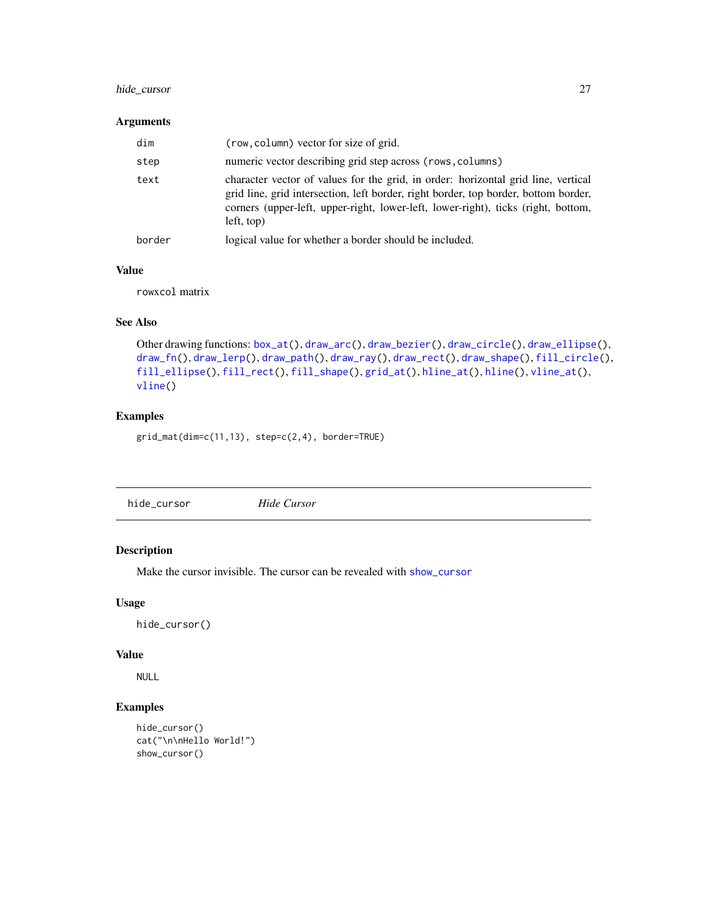# <span id="page-26-0"></span>hide\_cursor 27

#### Arguments

| dim    | (row, column) vector for size of grid.                                                                                                                                                                                                                                      |
|--------|-----------------------------------------------------------------------------------------------------------------------------------------------------------------------------------------------------------------------------------------------------------------------------|
| step   | numeric vector describing grid step across (rows, columns)                                                                                                                                                                                                                  |
| text   | character vector of values for the grid, in order: horizontal grid line, vertical<br>grid line, grid intersection, left border, right border, top border, bottom border,<br>corners (upper-left, upper-right, lower-left, lower-right), ticks (right, bottom,<br>left, top) |
| border | logical value for whether a border should be included.                                                                                                                                                                                                                      |

# Value

rowxcol matrix

# See Also

```
Other drawing functions: box_at(), draw_arc(), draw_bezier(), draw_circle(), draw_ellipse(),
draw_fn(), draw_lerp(), draw_path(), draw_ray(), draw_rect(), draw_shape(), fill_circle(),
fill_ellipse(), fill_rect(), fill_shape(), grid_at(), hline_at(), hline(), vline_at(),
vline()
```
# Examples

grid\_mat(dim=c(11,13), step=c(2,4), border=TRUE)

<span id="page-26-1"></span>

# Description

Make the cursor invisible. The cursor can be revealed with [show\\_cursor](#page-44-1)

# Usage

```
hide_cursor()
```
# Value

NULL

```
hide_cursor()
cat("\n\nHello World!")
show_cursor()
```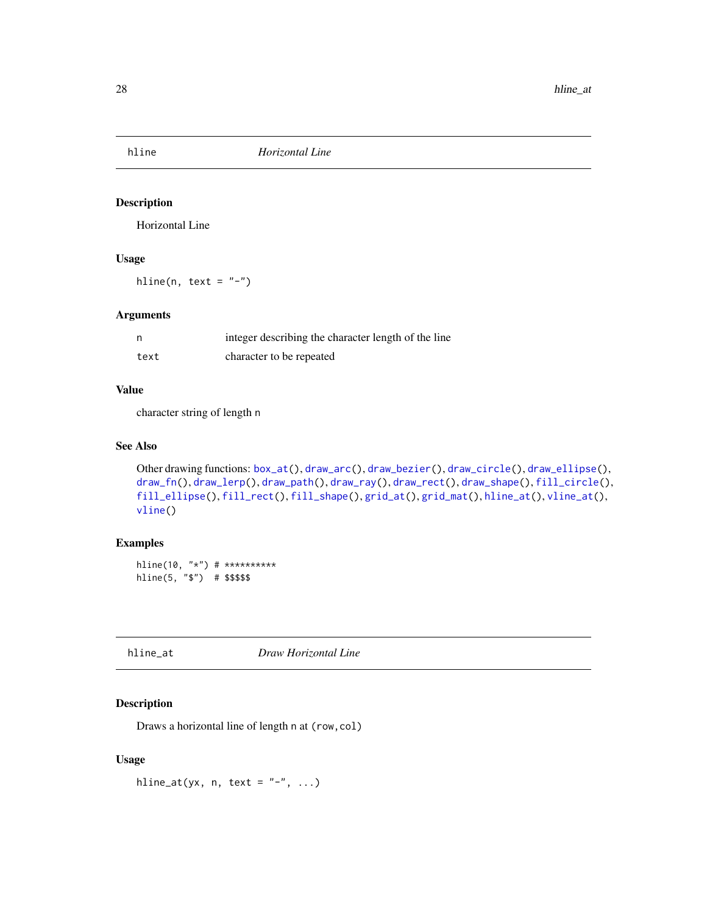<span id="page-27-2"></span><span id="page-27-0"></span>

Horizontal Line

#### Usage

hline(n, text =  $"$ -")

# Arguments

|      | integer describing the character length of the line |
|------|-----------------------------------------------------|
| text | character to be repeated                            |

#### Value

character string of length n

# See Also

```
Other drawing functions: box_at(), draw_arc(), draw_bezier(), draw_circle(), draw_ellipse(),
draw_fn(), draw_lerp(), draw_path(), draw_ray(), draw_rect(), draw_shape(), fill_circle(),
fill_ellipse(), fill_rect(), fill_shape(), grid_at(), grid_mat(), hline_at(), vline_at(),
vline()
```
# Examples

hline(10, "\*") # \*\*\*\*\*\*\*\*\*\* hline(5, "\$") # \$\$\$\$\$

<span id="page-27-1"></span>hline\_at *Draw Horizontal Line*

# Description

Draws a horizontal line of length n at (row,col)

#### Usage

hline\_at(yx, n, text =  $"$ -", ...)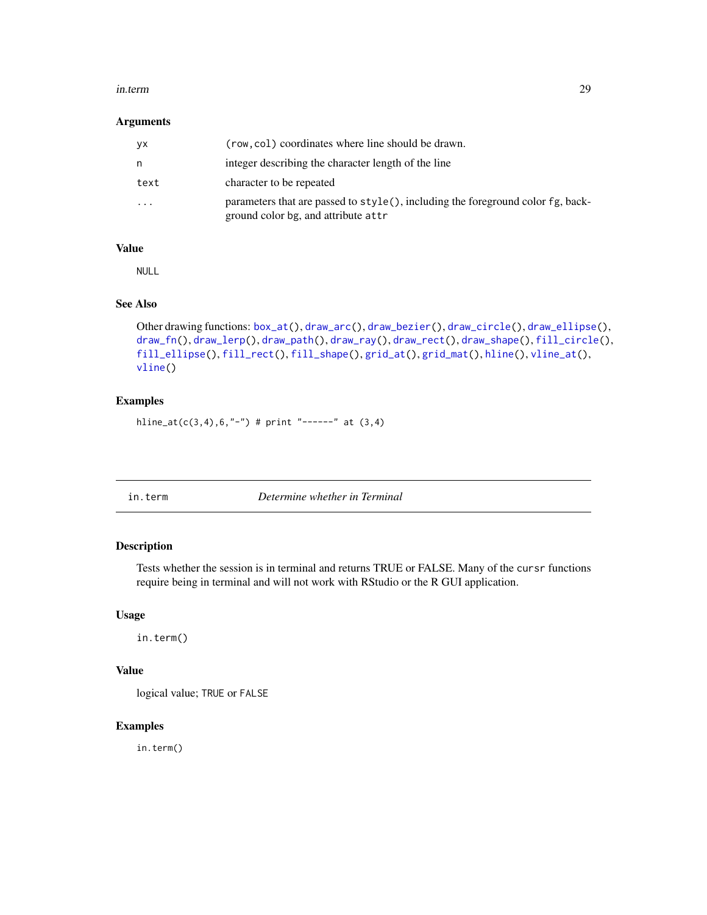#### <span id="page-28-0"></span>in.term 29

#### Arguments

| уx        | (row, col) coordinates where line should be drawn.                                                                     |  |
|-----------|------------------------------------------------------------------------------------------------------------------------|--|
| n         | integer describing the character length of the line                                                                    |  |
| text      | character to be repeated                                                                                               |  |
| $\ddotsc$ | parameters that are passed to style(), including the foreground color fg, back-<br>ground color bg, and attribute attr |  |

# Value

NULL

#### See Also

```
Other drawing functions: box_at(), draw_arc(), draw_bezier(), draw_circle(), draw_ellipse(),
draw_fn(), draw_lerp(), draw_path(), draw_ray(), draw_rect(), draw_shape(), fill_circle(),
fill_ellipse(), fill_rect(), fill_shape(), grid_at(), grid_mat(), hline(), vline_at(),
vline()
```
# Examples

hline\_at(c(3,4),6,"-") # print "------" at  $(3,4)$ 

in.term *Determine whether in Terminal*

# Description

Tests whether the session is in terminal and returns TRUE or FALSE. Many of the cursr functions require being in terminal and will not work with RStudio or the R GUI application.

#### Usage

in.term()

#### Value

logical value; TRUE or FALSE

# Examples

in.term()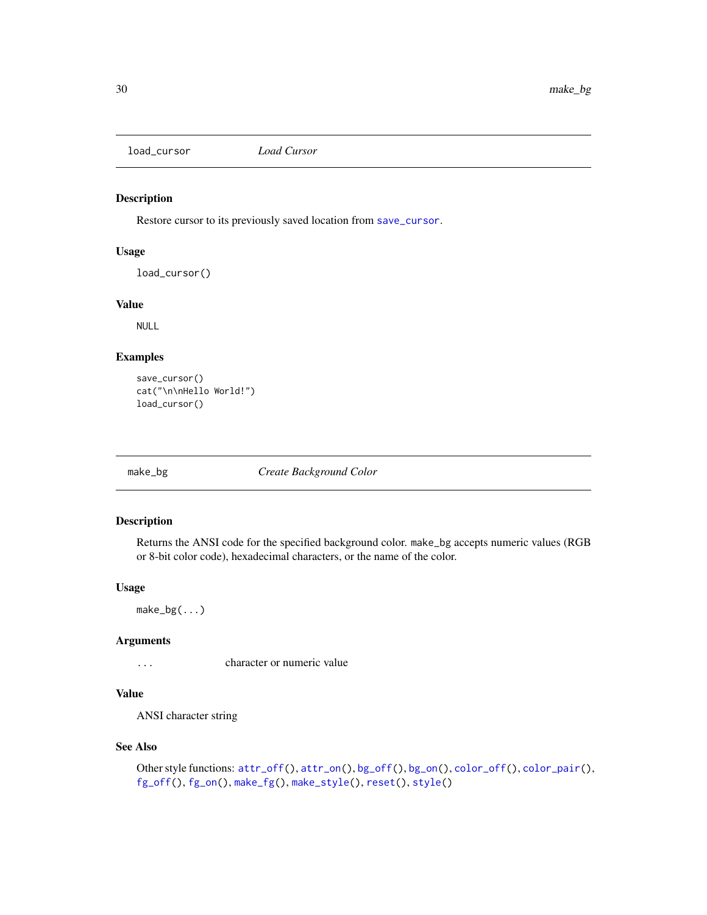<span id="page-29-2"></span><span id="page-29-0"></span>load\_cursor *Load Cursor*

# Description

Restore cursor to its previously saved location from [save\\_cursor](#page-44-2).

# Usage

load\_cursor()

#### Value

NULL

# Examples

```
save_cursor()
cat("\n\nHello World!")
load_cursor()
```
<span id="page-29-1"></span>

make\_bg *Create Background Color*

# Description

Returns the ANSI code for the specified background color. make\_bg accepts numeric values (RGB or 8-bit color code), hexadecimal characters, or the name of the color.

#### Usage

 $make_bg(\ldots)$ 

# Arguments

... character or numeric value

# Value

ANSI character string

#### See Also

```
Other style functions: attr_of(f), attr\_on(), bg_of(f), bg\_on(), color_of(f), color\_pair(),fg_off(), fg_on(), make_fg(), make_style(), reset(), style()
```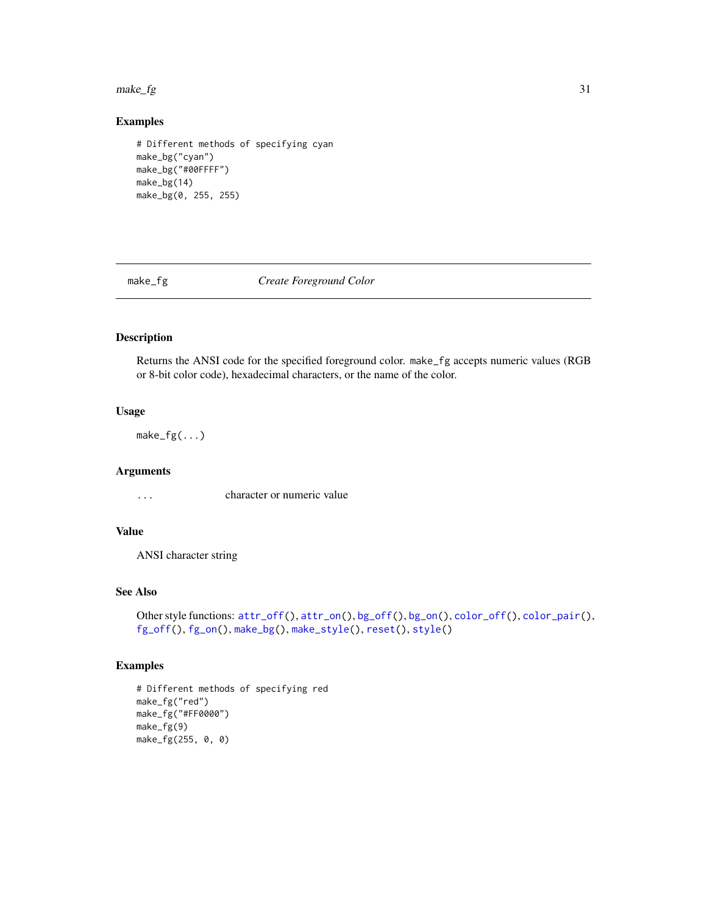#### <span id="page-30-0"></span> $make\_fg$  31

# Examples

```
# Different methods of specifying cyan
make_bg("cyan")
make_bg("#00FFFF")
make_bg(14)
make_bg(0, 255, 255)
```
<span id="page-30-1"></span>make\_fg *Create Foreground Color*

# Description

Returns the ANSI code for the specified foreground color. make\_fg accepts numeric values (RGB or 8-bit color code), hexadecimal characters, or the name of the color.

#### Usage

 $make_fg(\ldots)$ 

# Arguments

... character or numeric value

# Value

ANSI character string

# See Also

```
Other style functions: attr_of(f), attr\_on(), bg_of(f), bg\_on(), color_of(f), color\_pair(),fg_off(), fg_on(), make_bg(), make_style(), reset(), style()
```

```
# Different methods of specifying red
make_fg("red")
make_fg("#FF0000")
make_fg(9)
make_fg(255, 0, 0)
```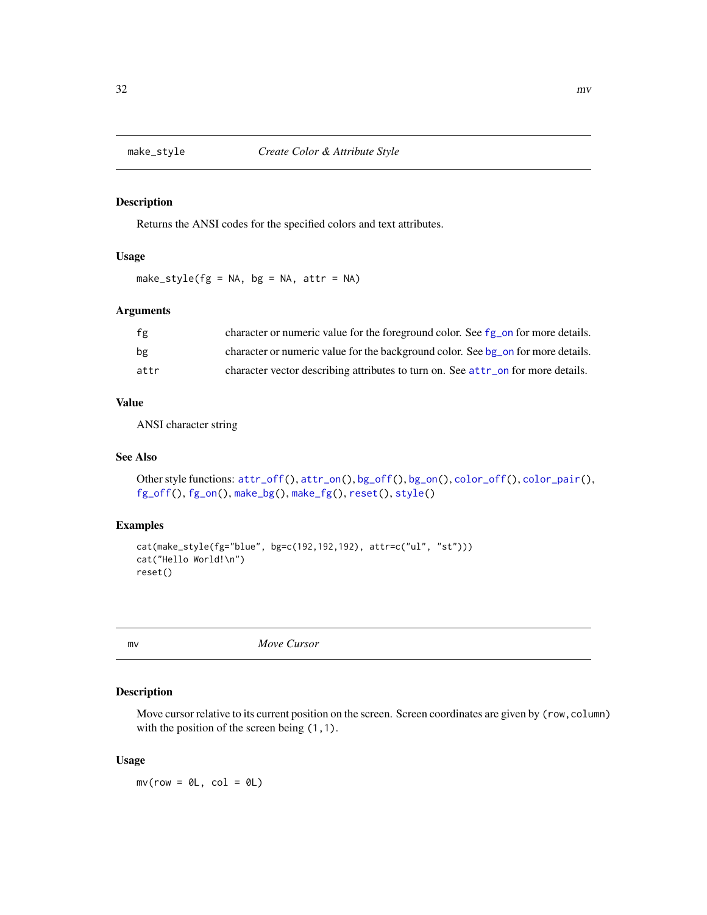<span id="page-31-1"></span><span id="page-31-0"></span>

Returns the ANSI codes for the specified colors and text attributes.

# Usage

make\_style( $fg = NA$ ,  $bg = NA$ ,  $attr = NA$ )

# Arguments

| fg   | character or numeric value for the foreground color. See fg_on for more details. |
|------|----------------------------------------------------------------------------------|
| bg   | character or numeric value for the background color. See bg on for more details. |
| attr | character vector describing attributes to turn on. See attr on for more details. |

# Value

ANSI character string

#### See Also

```
Other style functions: attr_of(f), attr\_on(), bg_of(f), bg\_on(), color_of(f), color\_pair(),fg_off(), fg_on(), make_bg(), make_fg(), reset(), style()
```
# Examples

```
cat(make_style(fg="blue", bg=c(192,192,192), attr=c("ul", "st")))
cat("Hello World!\n")
reset()
```

```
mv Move Cursor
```
# Description

Move cursor relative to its current position on the screen. Screen coordinates are given by (row, column) with the position of the screen being  $(1,1)$ .

#### Usage

 $mv(row = 0L, col = 0L)$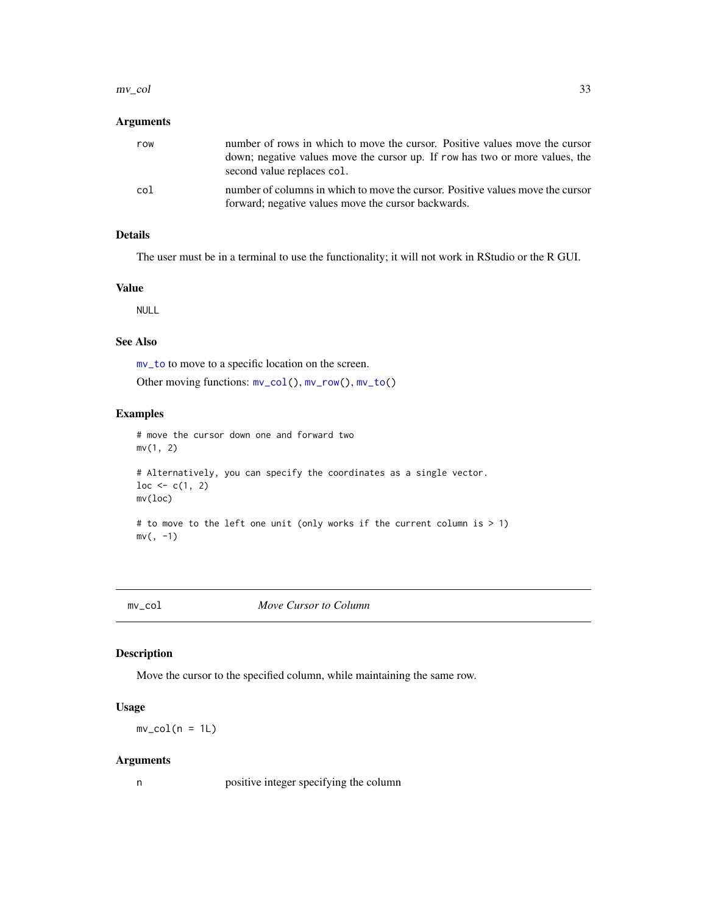#### <span id="page-32-0"></span> $mv_{\text{col}}$  33

# Arguments

| row | number of rows in which to move the cursor. Positive values move the cursor<br>down; negative values move the cursor up. If row has two or more values, the<br>second value replaces col. |
|-----|-------------------------------------------------------------------------------------------------------------------------------------------------------------------------------------------|
| col | number of columns in which to move the cursor. Positive values move the cursor<br>forward; negative values move the cursor backwards.                                                     |

# Details

The user must be in a terminal to use the functionality; it will not work in RStudio or the R GUI.

#### Value

NULL

#### See Also

[mv\\_to](#page-34-1) to move to a specific location on the screen.

Other moving functions: [mv\\_col\(](#page-32-1)), [mv\\_row\(](#page-33-1)), [mv\\_to\(](#page-34-1))

# Examples

```
# move the cursor down one and forward two
mv(1, 2)
```

```
# Alternatively, you can specify the coordinates as a single vector.
loc < -c(1, 2)mv(loc)
```

```
# to move to the left one unit (only works if the current column is > 1)
mv(, -1)
```
<span id="page-32-1"></span>mv\_col *Move Cursor to Column*

# Description

Move the cursor to the specified column, while maintaining the same row.

# Usage

 $mv\_col(n = 1L)$ 

#### Arguments

n positive integer specifying the column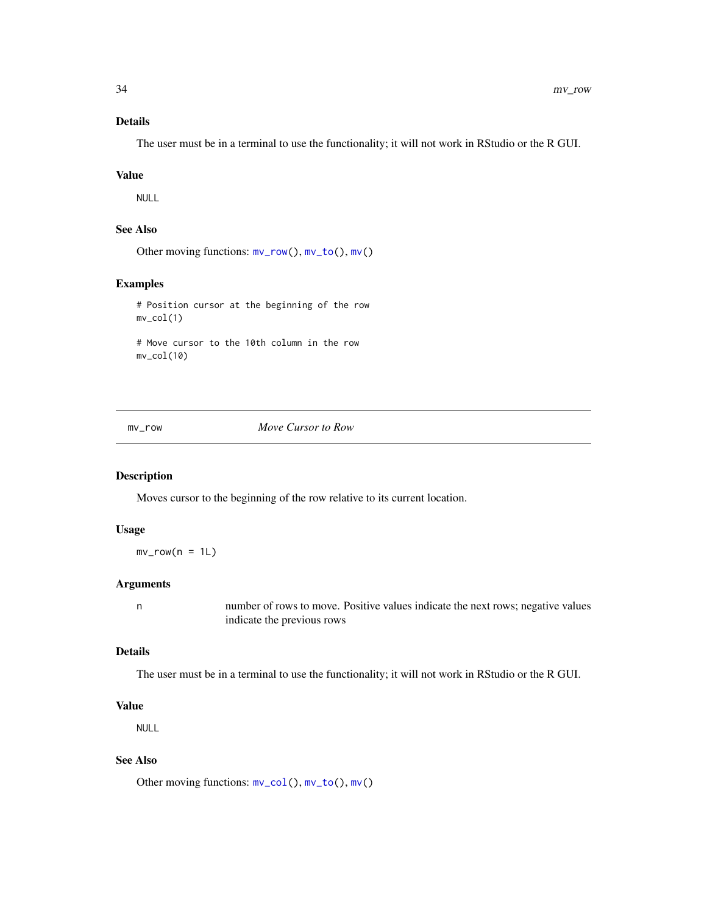# Details

The user must be in a terminal to use the functionality; it will not work in RStudio or the R GUI.

#### Value

NULL

# See Also

Other moving functions: [mv\\_row\(](#page-33-1)), [mv\\_to\(](#page-34-1)), [mv\(](#page-31-2))

#### Examples

```
# Position cursor at the beginning of the row
mv_col(1)
# Move cursor to the 10th column in the row
```
<span id="page-33-1"></span>

mv\_col(10)

mv\_row *Move Cursor to Row*

#### Description

Moves cursor to the beginning of the row relative to its current location.

#### Usage

 $mv_{row}(n = 1L)$ 

# Arguments

n number of rows to move. Positive values indicate the next rows; negative values indicate the previous rows

#### Details

The user must be in a terminal to use the functionality; it will not work in RStudio or the R GUI.

# Value

NULL

# See Also

Other moving functions: [mv\\_col\(](#page-32-1)), [mv\\_to\(](#page-34-1)), [mv\(](#page-31-2))

<span id="page-33-0"></span>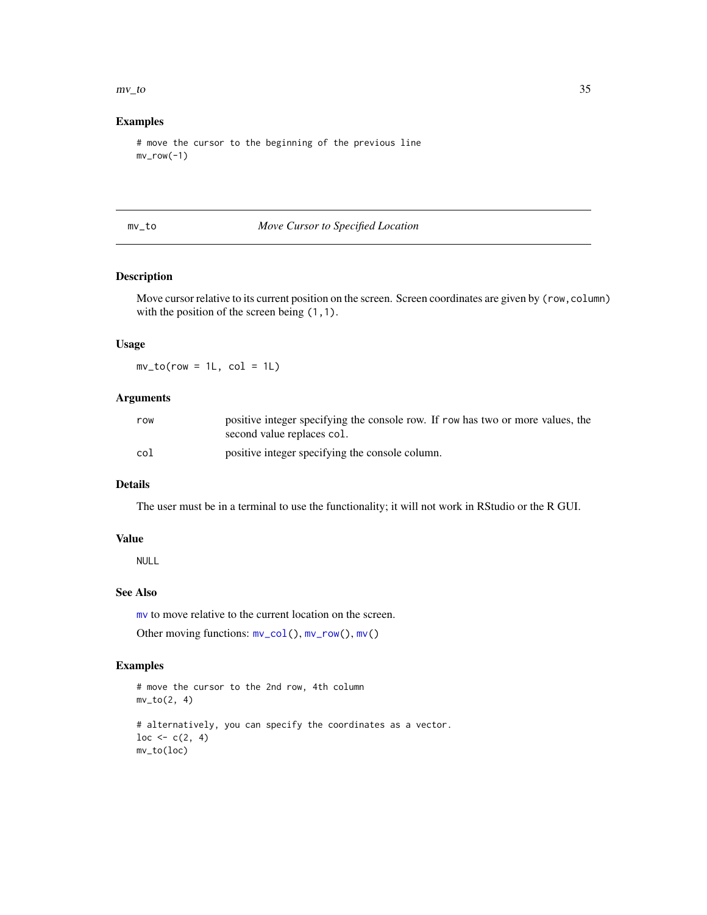#### <span id="page-34-0"></span> $mv_{\perp}$  to 35

# Examples

```
# move the cursor to the beginning of the previous line
mv_{row(-1)}
```
<span id="page-34-1"></span>mv\_to *Move Cursor to Specified Location*

# Description

Move cursor relative to its current position on the screen. Screen coordinates are given by (row,column) with the position of the screen being  $(1,1)$ .

#### Usage

 $mv\_to(row = 1L, col = 1L)$ 

#### Arguments

| row | positive integer specifying the console row. If row has two or more values, the<br>second value replaces col. |
|-----|---------------------------------------------------------------------------------------------------------------|
| col | positive integer specifying the console column.                                                               |

#### Details

The user must be in a terminal to use the functionality; it will not work in RStudio or the R GUI.

#### Value

NULL

### See Also

[mv](#page-31-2) to move relative to the current location on the screen.

Other moving functions: [mv\\_col\(](#page-32-1)), [mv\\_row\(](#page-33-1)), [mv\(](#page-31-2))

```
# move the cursor to the 2nd row, 4th column
mv_to(2, 4)# alternatively, you can specify the coordinates as a vector.
loc < -c(2, 4)mv_to(loc)
```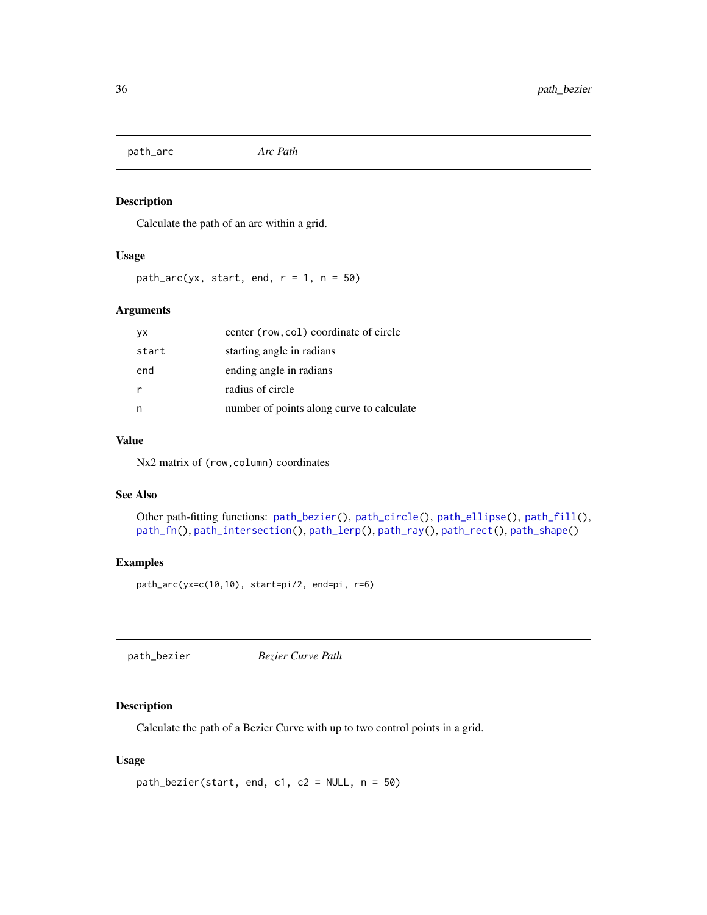<span id="page-35-2"></span><span id="page-35-0"></span>path\_arc *Arc Path*

# Description

Calculate the path of an arc within a grid.

#### Usage

path\_arc(yx, start, end,  $r = 1$ ,  $n = 50$ )

#### Arguments

| <b>VX</b> | center (row, col) coordinate of circle    |
|-----------|-------------------------------------------|
| start     | starting angle in radians                 |
| end       | ending angle in radians                   |
|           | radius of circle                          |
| n         | number of points along curve to calculate |

# Value

Nx2 matrix of (row, column) coordinates

#### See Also

```
Other path-fitting functions: path_bezier(), path_circle(), path_ellipse(), path_fill(),
path_fn(), path_intersection(), path_lerp(), path_ray(), path_rect(), path_shape()
```
#### Examples

```
path_arc(yx=c(10,10), start=pi/2, end=pi, r=6)
```
<span id="page-35-1"></span>path\_bezier *Bezier Curve Path*

# Description

Calculate the path of a Bezier Curve with up to two control points in a grid.

# Usage

```
path_bezier(start, end, c1, c2 = NULL, n = 50)
```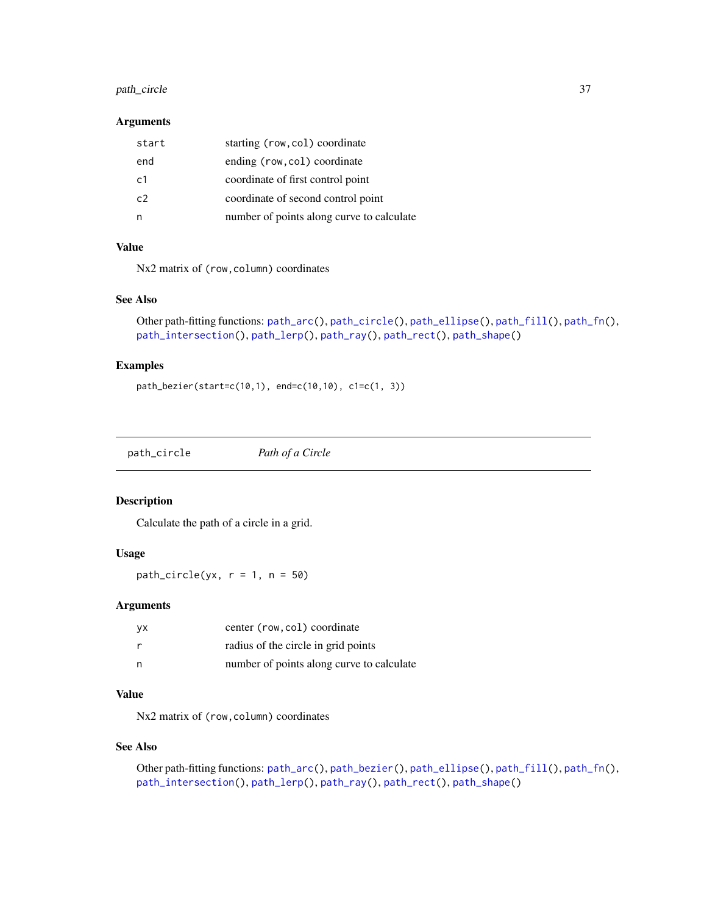# <span id="page-36-0"></span>path\_circle 37

## Arguments

| start          | starting (row, col) coordinate            |
|----------------|-------------------------------------------|
| end            | ending (row, col) coordinate              |
| c <sub>1</sub> | coordinate of first control point         |
| c2             | coordinate of second control point        |
|                | number of points along curve to calculate |

# Value

Nx2 matrix of (row,column) coordinates

# See Also

```
Other path-fitting functions: path_arc(), path_circle(), path_ellipse(), path_fill(), path_fn(),
path_intersection(), path_lerp(), path_ray(), path_rect(), path_shape()
```
#### Examples

```
path_bezier(start=c(10,1), end=c(10,10), c1=c(1, 3))
```
<span id="page-36-1"></span>

| path_circle | Path of a Circle |
|-------------|------------------|
|             |                  |

# Description

Calculate the path of a circle in a grid.

# Usage

path\_circle(yx,  $r = 1$ ,  $n = 50$ )

#### Arguments

| уx | center (row, col) coordinate              |
|----|-------------------------------------------|
| r  | radius of the circle in grid points       |
| n  | number of points along curve to calculate |

# Value

Nx2 matrix of (row, column) coordinates

#### See Also

```
Other path-fitting functions: path_arc(), path_bezier(), path_ellipse(), path_fill(), path_fn(),
path_intersection(), path_lerp(), path_ray(), path_rect(), path_shape()
```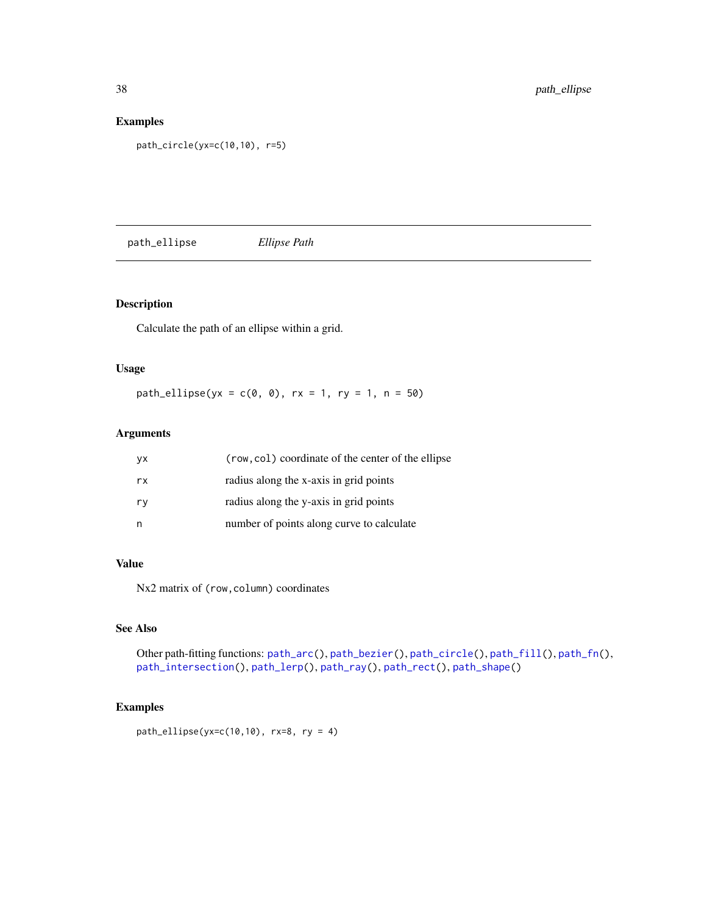# Examples

```
path_circle(yx=c(10,10), r=5)
```
<span id="page-37-1"></span>path\_ellipse *Ellipse Path*

# Description

Calculate the path of an ellipse within a grid.

# Usage

 $path$ <sup>-</sup>ellipse(yx = c(0, 0), rx = 1, ry = 1, n = 50)

# Arguments

| yx. | (row, col) coordinate of the center of the ellipse |
|-----|----------------------------------------------------|
| rx. | radius along the x-axis in grid points             |
| rv  | radius along the y-axis in grid points             |
| n   | number of points along curve to calculate          |

#### Value

Nx2 matrix of (row, column) coordinates

# See Also

Other path-fitting functions: [path\\_arc\(](#page-35-2)), [path\\_bezier\(](#page-35-1)), [path\\_circle\(](#page-36-1)), [path\\_fill\(](#page-38-1)), [path\\_fn\(](#page-38-2)), [path\\_intersection\(](#page-39-1)), [path\\_lerp\(](#page-40-1)), [path\\_ray\(](#page-40-2)), [path\\_rect\(](#page-41-1)), [path\\_shape\(](#page-42-1))

```
path<sup>-</sup>ellipse(yx=c(10,10), rx=8, ry = 4)
```
<span id="page-37-0"></span>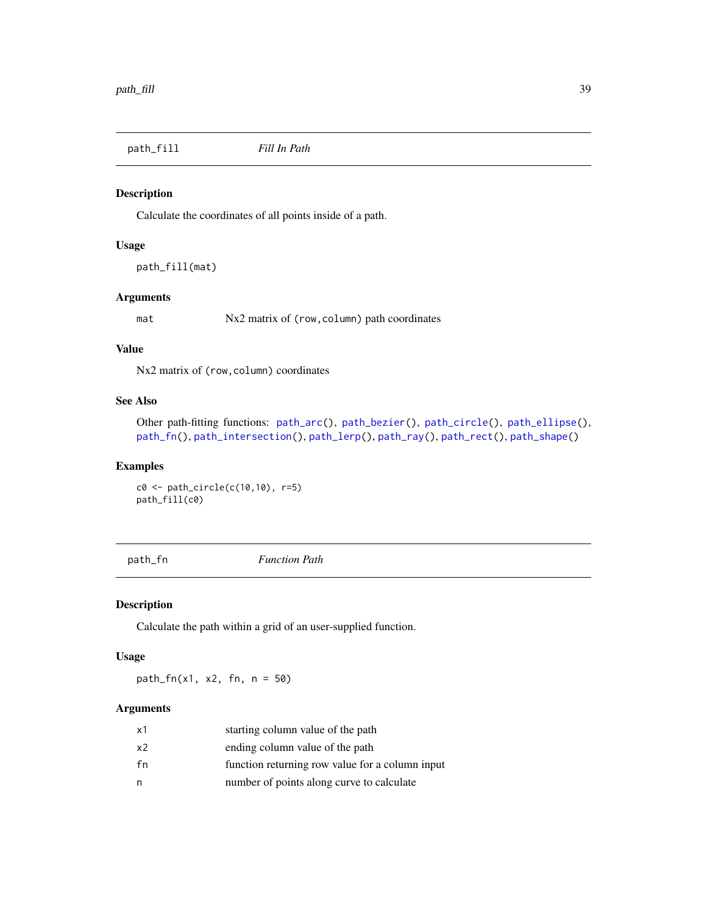<span id="page-38-1"></span><span id="page-38-0"></span>path\_fill *Fill In Path*

#### Description

Calculate the coordinates of all points inside of a path.

#### Usage

path\_fill(mat)

# Arguments

mat Nx2 matrix of (row, column) path coordinates

# Value

Nx2 matrix of (row, column) coordinates

# See Also

Other path-fitting functions: [path\\_arc\(](#page-35-2)), [path\\_bezier\(](#page-35-1)), [path\\_circle\(](#page-36-1)), [path\\_ellipse\(](#page-37-1)), [path\\_fn\(](#page-38-2)), [path\\_intersection\(](#page-39-1)), [path\\_lerp\(](#page-40-1)), [path\\_ray\(](#page-40-2)), [path\\_rect\(](#page-41-1)), [path\\_shape\(](#page-42-1))

#### Examples

c0 <- path\_circle(c(10,10), r=5) path\_fill(c0)

<span id="page-38-2"></span>path\_fn *Function Path*

#### Description

Calculate the path within a grid of an user-supplied function.

#### Usage

path\_fn(x1, x2, fn, n = 50)

# Arguments

| x1 | starting column value of the path               |
|----|-------------------------------------------------|
| x2 | ending column value of the path                 |
| fn | function returning row value for a column input |
| n  | number of points along curve to calculate       |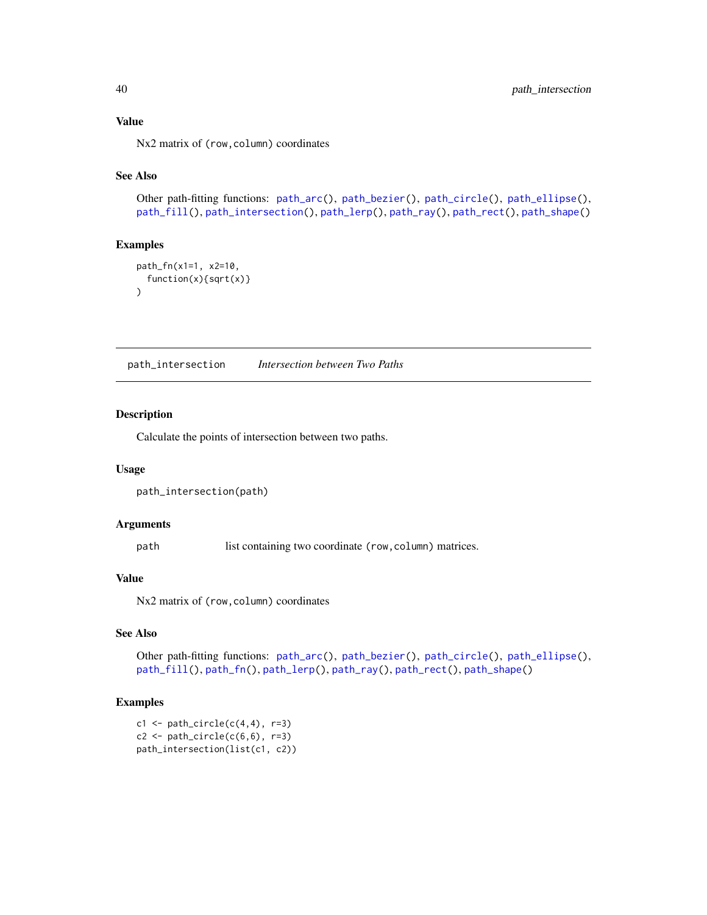# Value

Nx2 matrix of (row, column) coordinates

#### See Also

Other path-fitting functions: [path\\_arc\(](#page-35-2)), [path\\_bezier\(](#page-35-1)), [path\\_circle\(](#page-36-1)), [path\\_ellipse\(](#page-37-1)), [path\\_fill\(](#page-38-1)), [path\\_intersection\(](#page-39-1)), [path\\_lerp\(](#page-40-1)), [path\\_ray\(](#page-40-2)), [path\\_rect\(](#page-41-1)), [path\\_shape\(](#page-42-1))

#### Examples

```
path_fn(x1=1, x2=10,
  function(x){sqrt(x)}
\mathcal{L}
```
<span id="page-39-1"></span>path\_intersection *Intersection between Two Paths*

#### Description

Calculate the points of intersection between two paths.

#### Usage

```
path_intersection(path)
```
#### Arguments

path list containing two coordinate (row, column) matrices.

# Value

Nx2 matrix of (row, column) coordinates

# See Also

Other path-fitting functions: [path\\_arc\(](#page-35-2)), [path\\_bezier\(](#page-35-1)), [path\\_circle\(](#page-36-1)), [path\\_ellipse\(](#page-37-1)), [path\\_fill\(](#page-38-1)), [path\\_fn\(](#page-38-2)), [path\\_lerp\(](#page-40-1)), [path\\_ray\(](#page-40-2)), [path\\_rect\(](#page-41-1)), [path\\_shape\(](#page-42-1))

```
c1 \leftarrow path\_circle(c(4,4), r=3)c2 \leftarrow path\_circle(c(6,6), r=3)path_intersection(list(c1, c2))
```
<span id="page-39-0"></span>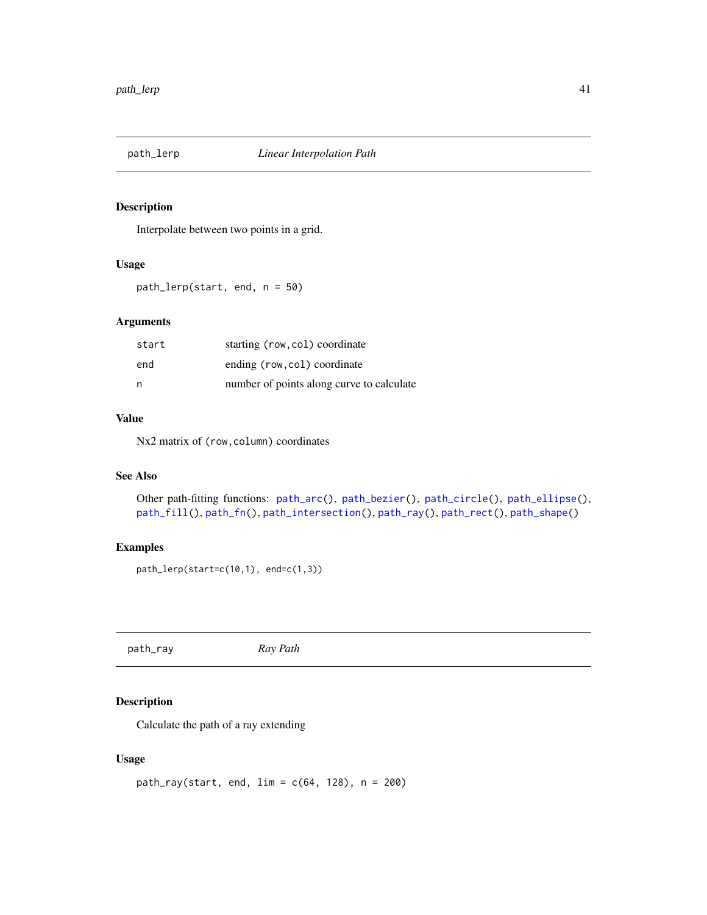<span id="page-40-1"></span><span id="page-40-0"></span>

Interpolate between two points in a grid.

#### Usage

path\_lerp(start, end, n = 50)

# Arguments

| start | starting (row, col) coordinate            |
|-------|-------------------------------------------|
| end   | ending (row, col) coordinate              |
| n     | number of points along curve to calculate |

# Value

Nx2 matrix of (row, column) coordinates

#### See Also

Other path-fitting functions: [path\\_arc\(](#page-35-2)), [path\\_bezier\(](#page-35-1)), [path\\_circle\(](#page-36-1)), [path\\_ellipse\(](#page-37-1)), [path\\_fill\(](#page-38-1)), [path\\_fn\(](#page-38-2)), [path\\_intersection\(](#page-39-1)), [path\\_ray\(](#page-40-2)), [path\\_rect\(](#page-41-1)), [path\\_shape\(](#page-42-1))

# Examples

path\_lerp(start=c(10,1), end=c(1,3))

<span id="page-40-2"></span>path\_ray *Ray Path*

# Description

Calculate the path of a ray extending

#### Usage

```
path_{ray}(start, end, lim = c(64, 128), n = 200)
```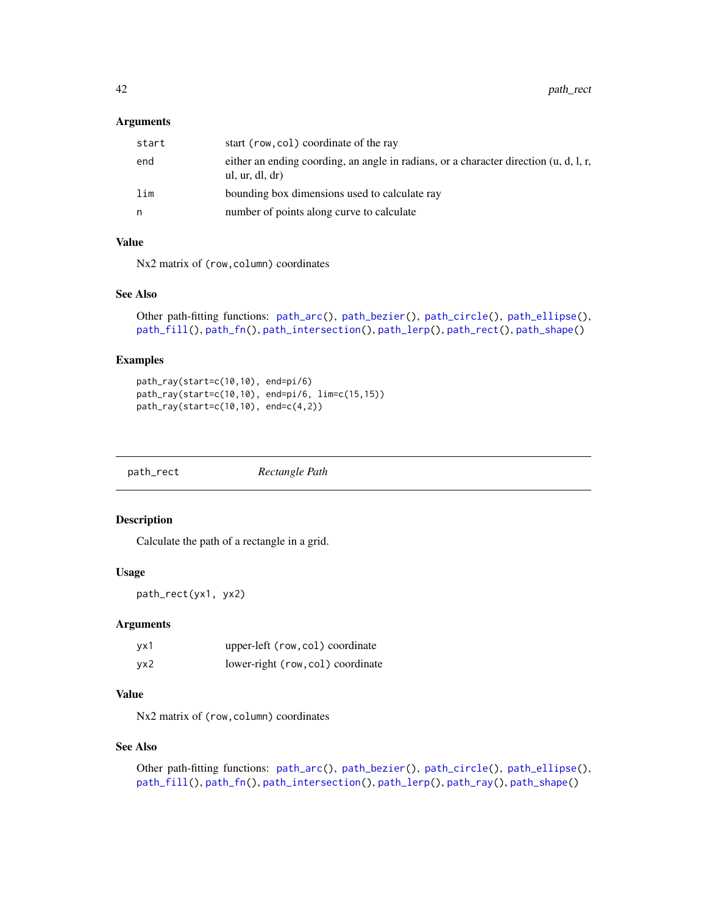#### <span id="page-41-0"></span>Arguments

| start | start (row, col) coordinate of the ray                                                                   |
|-------|----------------------------------------------------------------------------------------------------------|
| end   | either an ending coording, an angle in radians, or a character direction (u, d, l, r,<br>ul, ur, dl, dr) |
| lim   | bounding box dimensions used to calculate ray                                                            |
| n     | number of points along curve to calculate                                                                |

# Value

Nx2 matrix of (row, column) coordinates

#### See Also

```
Other path-fitting functions: path_arc(), path_bezier(), path_circle(), path_ellipse(),
path_fill(), path_fn(), path_intersection(), path_lerp(), path_rect(), path_shape()
```
#### Examples

```
path_ray(start=c(10,10), end=pi/6)
path_ray(start=c(10,10), end=pi/6, lim=c(15,15))
path_ray(start=c(10,10), end=c(4,2))
```
<span id="page-41-1"></span>

| path_rect | Rectangle Path |
|-----------|----------------|
|           |                |

# Description

Calculate the path of a rectangle in a grid.

# Usage

path\_rect(yx1, yx2)

#### Arguments

| yx1 | upper-left (row, col) coordinate  |
|-----|-----------------------------------|
| yx2 | lower-right (row, col) coordinate |

# Value

Nx2 matrix of (row, column) coordinates

#### See Also

```
Other path-fitting functions: path_arc(), path_bezier(), path_circle(), path_ellipse(),
path_fill(), path_fn(), path_intersection(), path_lerp(), path_ray(), path_shape()
```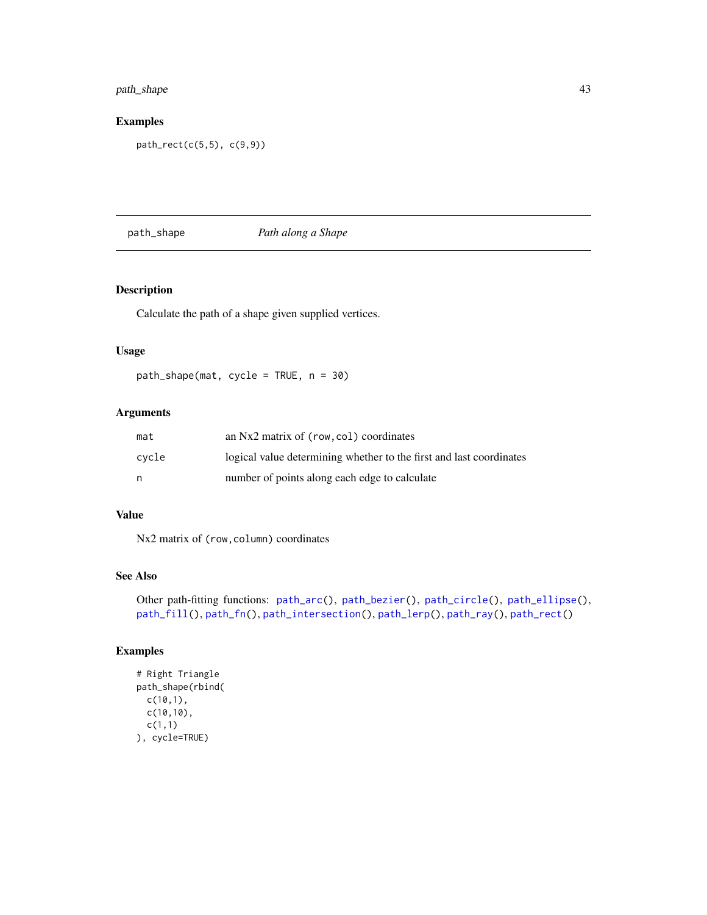# <span id="page-42-0"></span>path\_shape 43

# Examples

path\_rect(c(5,5), c(9,9))

# <span id="page-42-1"></span>path\_shape *Path along a Shape*

# Description

Calculate the path of a shape given supplied vertices.

# Usage

path\_shape(mat, cycle = TRUE, n = 30)

# Arguments

| mat   | an Nx2 matrix of (row, col) coordinates                             |
|-------|---------------------------------------------------------------------|
| cvcle | logical value determining whether to the first and last coordinates |
| n     | number of points along each edge to calculate                       |

# Value

Nx2 matrix of (row,column) coordinates

#### See Also

Other path-fitting functions: [path\\_arc\(](#page-35-2)), [path\\_bezier\(](#page-35-1)), [path\\_circle\(](#page-36-1)), [path\\_ellipse\(](#page-37-1)), [path\\_fill\(](#page-38-1)), [path\\_fn\(](#page-38-2)), [path\\_intersection\(](#page-39-1)), [path\\_lerp\(](#page-40-1)), [path\\_ray\(](#page-40-2)), [path\\_rect\(](#page-41-1))

```
# Right Triangle
path_shape(rbind(
 c(10,1),
 c(10,10),
 c(1,1)
), cycle=TRUE)
```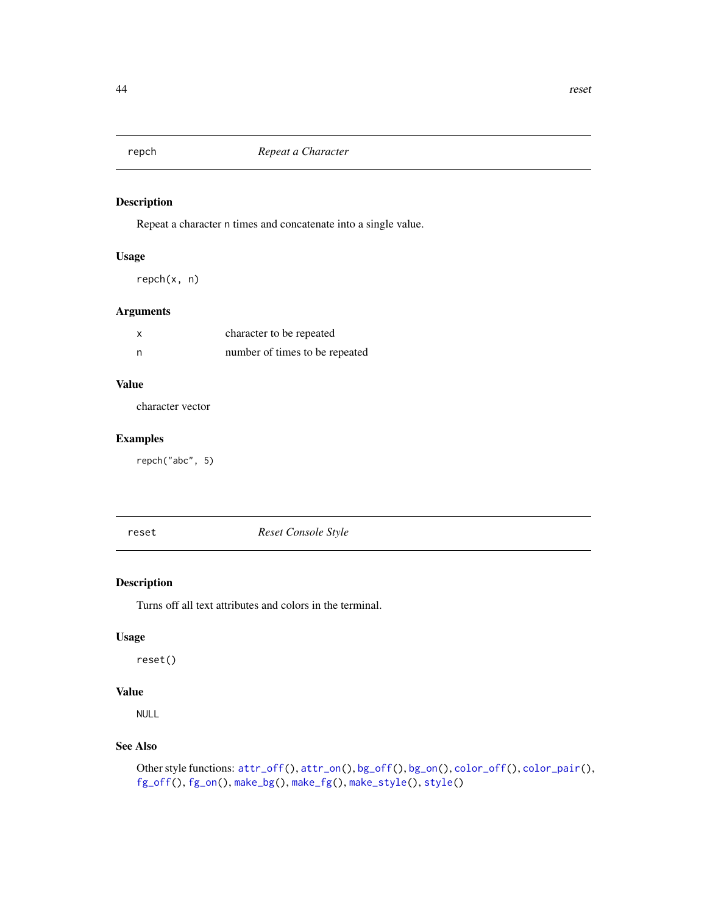<span id="page-43-0"></span>

Repeat a character n times and concatenate into a single value.

# Usage

repch(x, n)

# Arguments

|     | character to be repeated       |
|-----|--------------------------------|
| - n | number of times to be repeated |

# Value

character vector

# Examples

repch("abc", 5)

<span id="page-43-1"></span>reset *Reset Console Style*

# Description

Turns off all text attributes and colors in the terminal.

# Usage

reset()

# Value

NULL

# See Also

```
Other style functions: attr_off(), attr_on(), bg_off(), bg_on(), color_off(), color_pair(),
fg_off(), fg_on(), make_bg(), make_fg(), make_style(), style()
```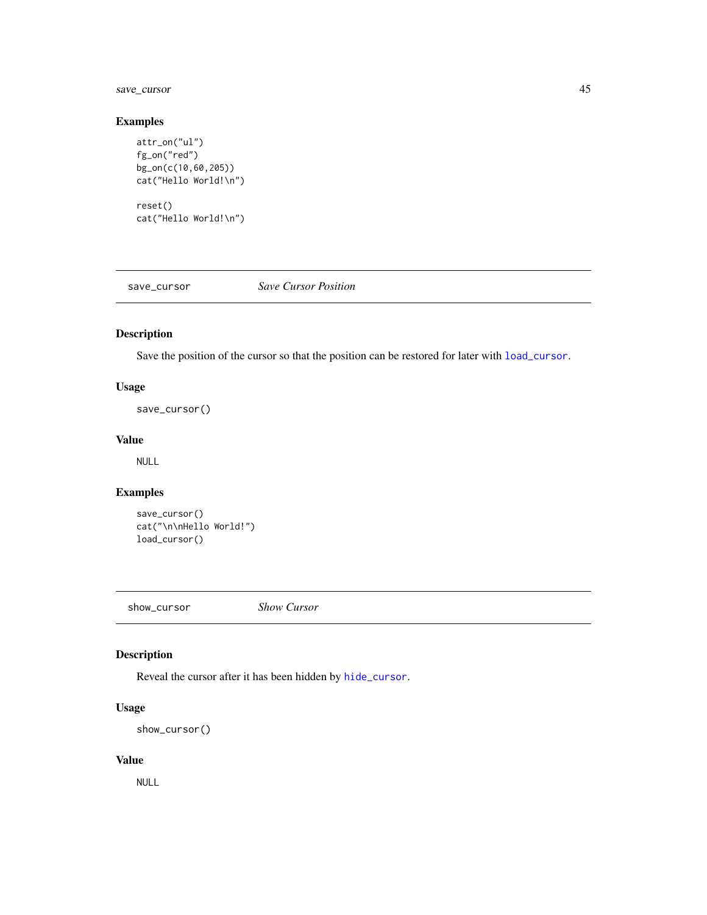# <span id="page-44-0"></span>save\_cursor 45

# Examples

```
attr_on("ul")
fg_on("red")
bg_on(c(10,60,205))
cat("Hello World!\n")
reset()
cat("Hello World!\n")
```
<span id="page-44-2"></span>save\_cursor *Save Cursor Position*

# Description

Save the position of the cursor so that the position can be restored for later with [load\\_cursor](#page-29-2).

# Usage

save\_cursor()

#### Value

NULL

# Examples

```
save_cursor()
cat("\n\nHello World!")
load_cursor()
```
<span id="page-44-1"></span>show\_cursor *Show Cursor*

# Description

Reveal the cursor after it has been hidden by [hide\\_cursor](#page-26-1).

# Usage

```
show_cursor()
```
#### Value

NULL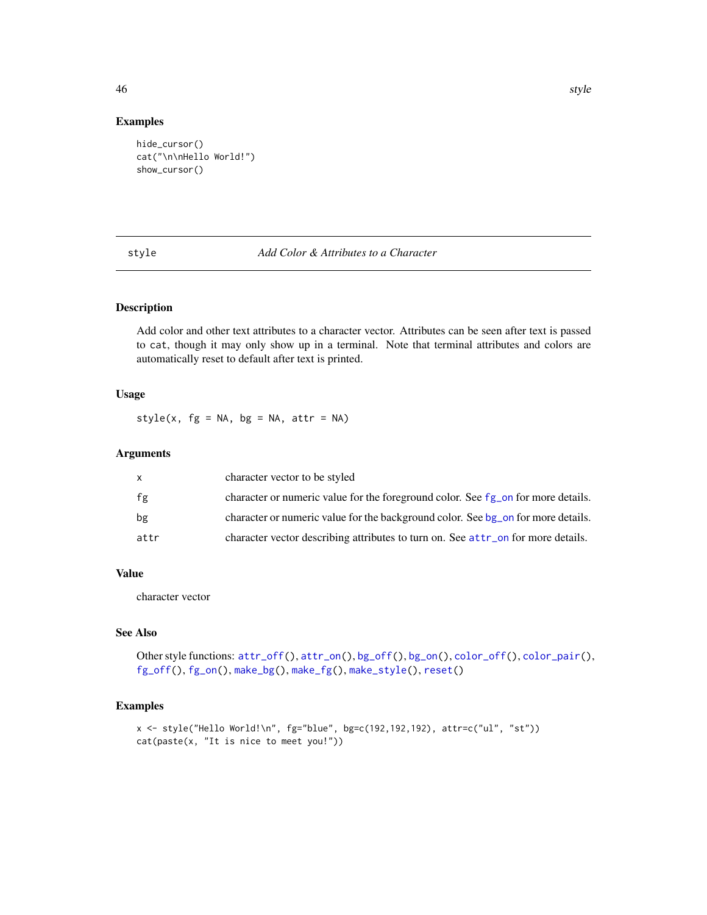# Examples

```
hide_cursor()
cat("\n\nHello World!")
show_cursor()
```
#### <span id="page-45-1"></span>style *Add Color & Attributes to a Character*

#### Description

Add color and other text attributes to a character vector. Attributes can be seen after text is passed to cat, though it may only show up in a terminal. Note that terminal attributes and colors are automatically reset to default after text is printed.

# Usage

 $style(x, fg = NA, bg = NA, attr = NA)$ 

# Arguments

|      | character vector to be styled                                                                  |
|------|------------------------------------------------------------------------------------------------|
| fg   | character or numeric value for the foreground color. See fg_on for more details.               |
| bg   | character or numeric value for the background color. See bg <sub>ro</sub> on for more details. |
| attr | character vector describing attributes to turn on. See attr on for more details.               |

#### Value

character vector

#### See Also

Other style functions:  $attr_of(f), attr\_on(), bg_of(f), bg\_on(), color_of(f), color\_pair(),$ [fg\\_off\(](#page-18-1)), [fg\\_on\(](#page-18-2)), [make\\_bg\(](#page-29-1)), [make\\_fg\(](#page-30-1)), [make\\_style\(](#page-31-1)), [reset\(](#page-43-1))

# Examples

```
x <- style("Hello World!\n", fg="blue", bg=c(192,192,192), attr=c("ul", "st"))
cat(paste(x, "It is nice to meet you!"))
```
<span id="page-45-0"></span>46 style style and the style style style style style style style style style style style style style style style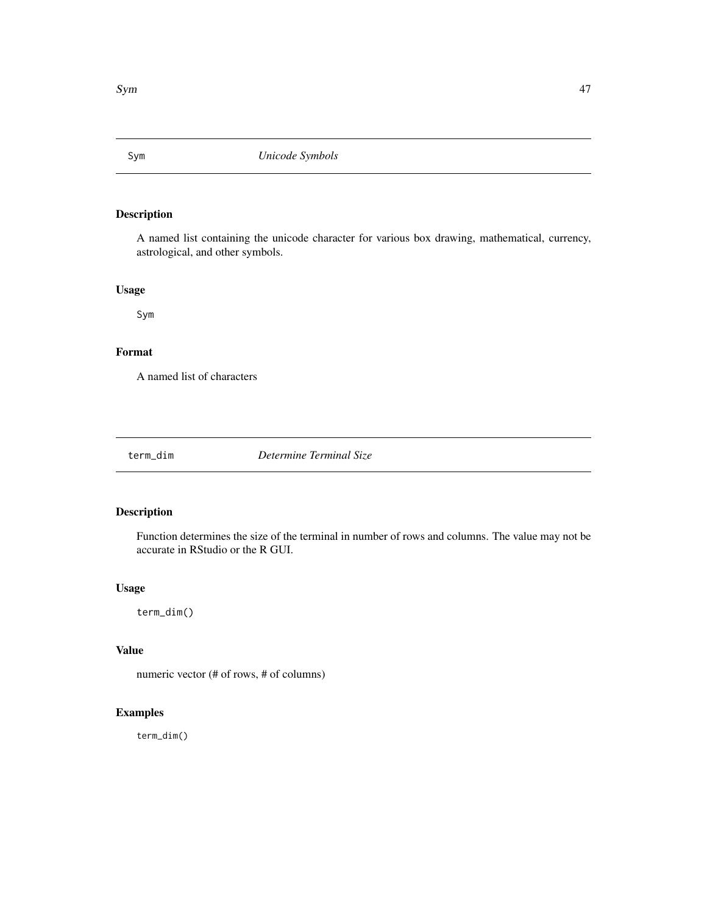<span id="page-46-0"></span>

A named list containing the unicode character for various box drawing, mathematical, currency, astrological, and other symbols.

# Usage

Sym

# Format

A named list of characters

term\_dim *Determine Terminal Size*

# Description

Function determines the size of the terminal in number of rows and columns. The value may not be accurate in RStudio or the R GUI.

# Usage

term\_dim()

# Value

numeric vector (# of rows, # of columns)

# Examples

term\_dim()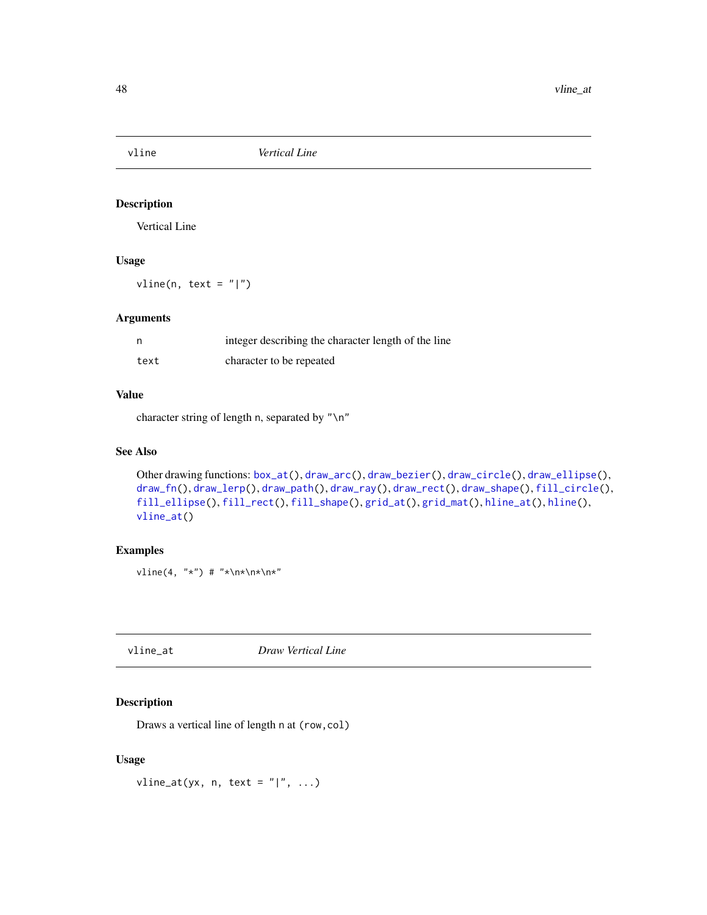<span id="page-47-2"></span><span id="page-47-0"></span>

Vertical Line

# Usage

 $vline(n, text = " |")$ 

# Arguments

|      | integer describing the character length of the line |
|------|-----------------------------------------------------|
| text | character to be repeated                            |

# Value

character string of length n, separated by "\n"

# See Also

```
Other drawing functions: box_at(), draw_arc(), draw_bezier(), draw_circle(), draw_ellipse(),
draw_fn(), draw_lerp(), draw_path(), draw_ray(), draw_rect(), draw_shape(), fill_circle(),
fill_ellipse(), fill_rect(), fill_shape(), grid_at(), grid_mat(), hline_at(), hline(),
vline_at()
```
# Examples

vline(4, "\*") # "\*\n\*\n\*\n\*"

<span id="page-47-1"></span>vline\_at *Draw Vertical Line*

# Description

Draws a vertical line of length n at (row,col)

#### Usage

vline\_at(yx, n, text =  $" | "$ , ...)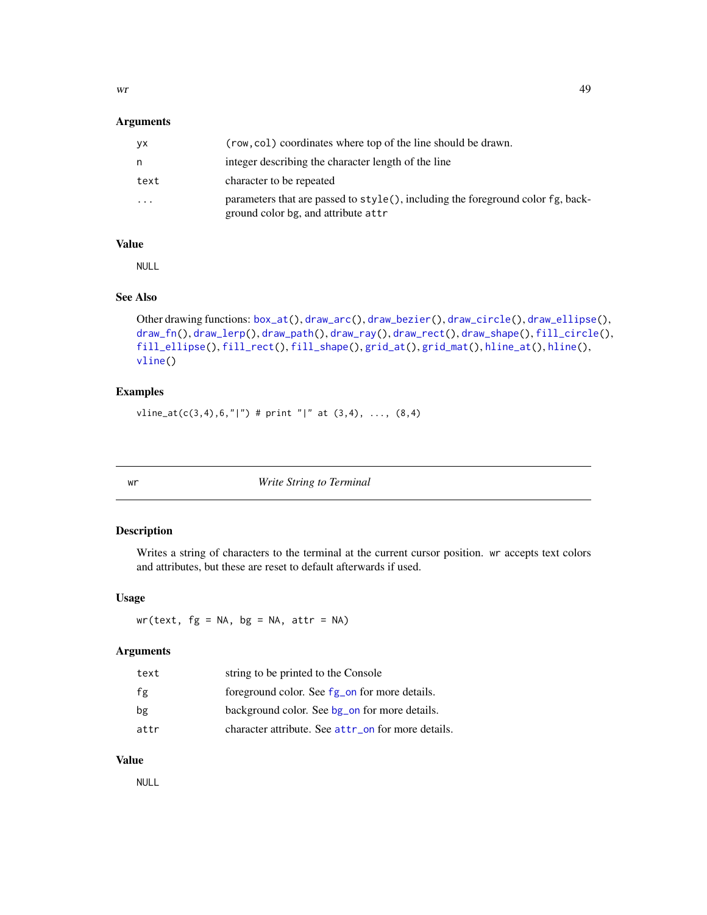<span id="page-48-0"></span> $wr$  49

# Arguments

| VХ   | (row, col) coordinates where top of the line should be drawn.                                                               |
|------|-----------------------------------------------------------------------------------------------------------------------------|
| n    | integer describing the character length of the line                                                                         |
| text | character to be repeated                                                                                                    |
| .    | parameters that are passed to $style($ , including the foreground color $fg$ , back-<br>ground color bg, and attribute attr |

#### Value

NULL

# See Also

```
Other drawing functions: box_at(), draw_arc(), draw_bezier(), draw_circle(), draw_ellipse(),
draw_fn(), draw_lerp(), draw_path(), draw_ray(), draw_rect(), draw_shape(), fill_circle(),
fill_ellipse(), fill_rect(), fill_shape(), grid_at(), grid_mat(), hline_at(), hline(),
vline()
```
#### Examples

vline\_at(c(3,4),6,"|") # print "|" at  $(3,4)$ , ...,  $(8,4)$ 

<span id="page-48-1"></span>

wr *Write String to Terminal*

#### Description

Writes a string of characters to the terminal at the current cursor position. wr accepts text colors and attributes, but these are reset to default afterwards if used.

# Usage

 $wr(text, fg = NA, bg = NA, attr = NA)$ 

# Arguments

| text | string to be printed to the Console                      |
|------|----------------------------------------------------------|
| fg   | foreground color. See fg <sub>on</sub> for more details. |
| bg   | background color. See bg_on for more details.            |
| attr | character attribute. See attr_on for more details.       |

# Value

NULL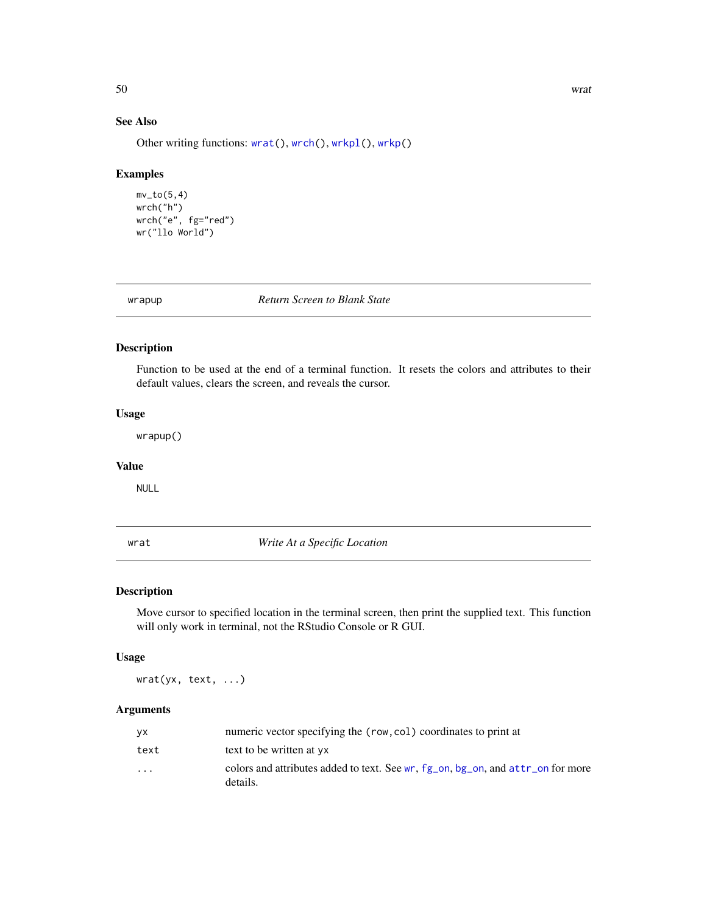# See Also

Other writing functions: [wrat\(](#page-49-1)), [wrch\(](#page-50-1)), [wrkpl\(](#page-53-1)), [wrkp\(](#page-52-1))

#### Examples

```
mv\_to(5,4)wrch("h")
wrch("e", fg="red")
wr("llo World")
```
wrapup *Return Screen to Blank State*

# Description

Function to be used at the end of a terminal function. It resets the colors and attributes to their default values, clears the screen, and reveals the cursor.

# Usage

wrapup()

#### Value

NULL

<span id="page-49-1"></span>wrat *Write At a Specific Location*

# Description

Move cursor to specified location in the terminal screen, then print the supplied text. This function will only work in terminal, not the RStudio Console or R GUI.

#### Usage

wrat(yx, text, ...)

#### Arguments

| VX.                     | numeric vector specifying the (row, col) coordinates to print at                                        |
|-------------------------|---------------------------------------------------------------------------------------------------------|
| text                    | text to be written at yx                                                                                |
| $\cdot$ $\cdot$ $\cdot$ | colors and attributes added to text. See wr, $fg_{\text{on}}$ , bg on, and attr on for more<br>details. |

<span id="page-49-0"></span>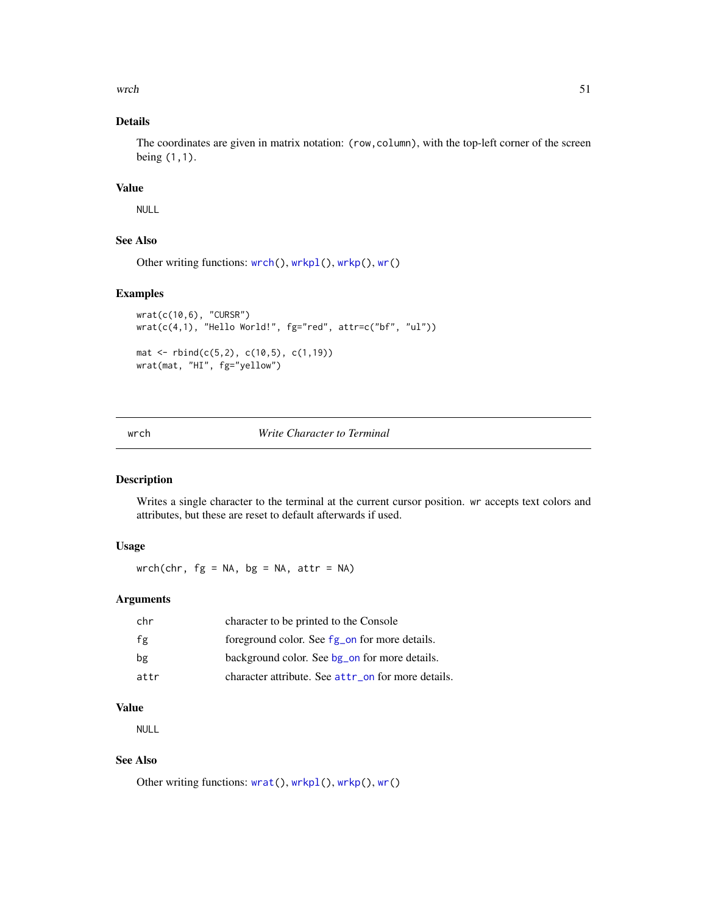<span id="page-50-0"></span> $\mathbf{A}$  such that  $\mathbf{A}$  is the set of  $\mathbf{A}$  is the set of  $\mathbf{A}$  is the set of  $\mathbf{A}$  is the set of  $\mathbf{A}$  is the set of  $\mathbf{A}$  is the set of  $\mathbf{A}$  is the set of  $\mathbf{A}$  is the set of  $\mathbf{A}$  is the se

# Details

The coordinates are given in matrix notation: (row,column), with the top-left corner of the screen being (1,1).

# Value

NULL

# See Also

```
wrch(wrkpl(wrkp(wr()
```
# Examples

```
wrat(c(10,6), "CURSR")
wrat(c(4,1), "Hello World!", fg="red", attr=c("bf", "ul"))
mat <- rbind(c(5,2), c(10,5), c(1,19))
wrat(mat, "HI", fg="yellow")
```
#### <span id="page-50-1"></span>wrch *Write Character to Terminal*

# Description

Writes a single character to the terminal at the current cursor position. wr accepts text colors and attributes, but these are reset to default afterwards if used.

# Usage

wrch(chr,  $fg = NA$ ,  $bg = NA$ ,  $attr = NA$ )

# Arguments

| chr  | character to be printed to the Console             |
|------|----------------------------------------------------|
| fg   | foreground color. See fg_on for more details.      |
| bg   | background color. See bg on for more details.      |
| attr | character attribute. See attr_on for more details. |

#### Value

NULL

# See Also

Other writing functions: [wrat\(](#page-49-1)), [wrkpl\(](#page-53-1)), [wrkp\(](#page-52-1)), [wr\(](#page-48-1))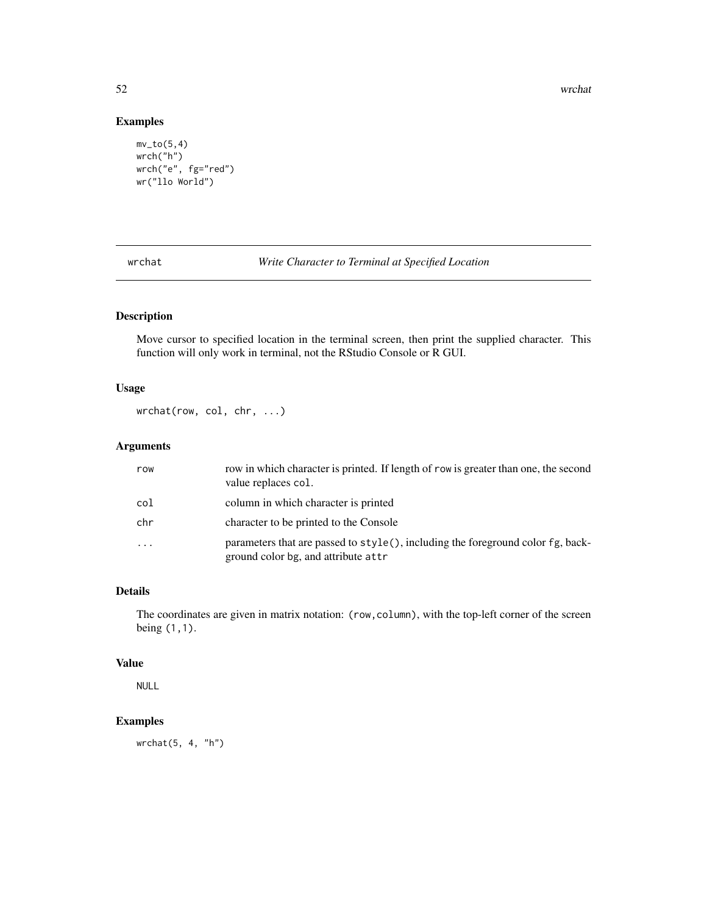52 wrchat with the set of the set of the set of the set of the set of the set of the set of the set of the set of the set of the set of the set of the set of the set of the set of the set of the set of the set of the set o

# Examples

```
mv\_to(5,4)wrch("h")
wrch("e", fg="red")
wr("llo World")
```
wrchat *Write Character to Terminal at Specified Location*

# Description

Move cursor to specified location in the terminal screen, then print the supplied character. This function will only work in terminal, not the RStudio Console or R GUI.

# Usage

wrchat(row, col, chr, ...)

# Arguments

| row       | row in which character is printed. If length of row is greater than one, the second<br>value replaces col.             |
|-----------|------------------------------------------------------------------------------------------------------------------------|
| col       | column in which character is printed                                                                                   |
| chr       | character to be printed to the Console                                                                                 |
| $\ddotsc$ | parameters that are passed to style(), including the foreground color fg, back-<br>ground color bg, and attribute attr |

#### Details

The coordinates are given in matrix notation: (row,column), with the top-left corner of the screen being (1,1).

#### Value

NULL

# Examples

wrchat(5, 4, "h")

<span id="page-51-0"></span>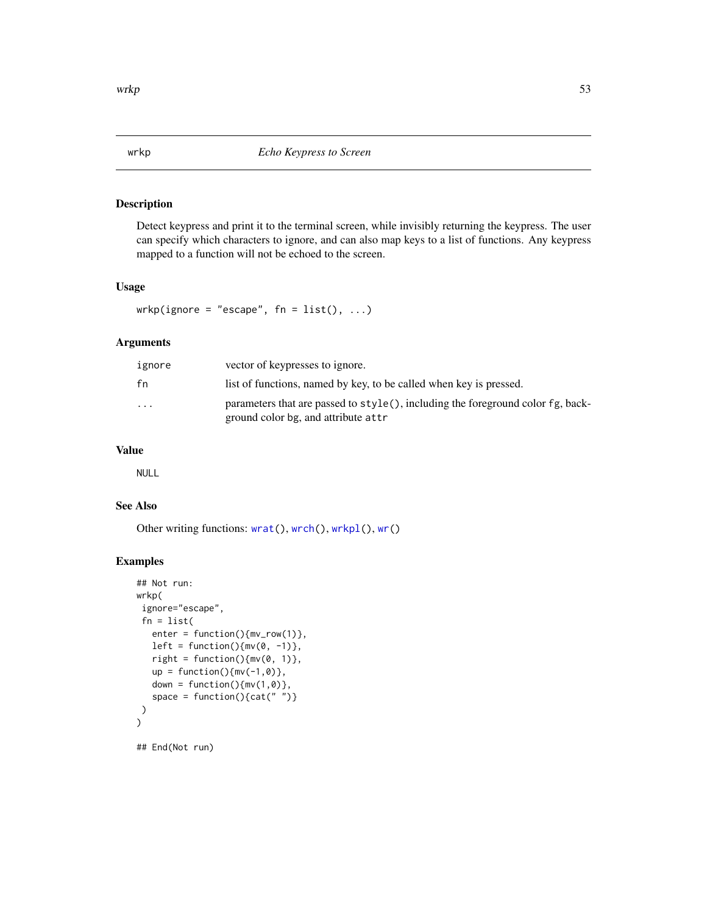<span id="page-52-1"></span><span id="page-52-0"></span>Detect keypress and print it to the terminal screen, while invisibly returning the keypress. The user can specify which characters to ignore, and can also map keys to a list of functions. Any keypress mapped to a function will not be echoed to the screen.

#### Usage

wrkp(ignore = "escape",  $fn = list(), ...)$ 

# Arguments

| ignore                  | vector of keypresses to ignore.                                                                                        |
|-------------------------|------------------------------------------------------------------------------------------------------------------------|
| fn                      | list of functions, named by key, to be called when key is pressed.                                                     |
| $\cdot$ $\cdot$ $\cdot$ | parameters that are passed to style(), including the foreground color fg, back-<br>ground color bg, and attribute attr |

# Value

NULL

#### See Also

Other writing functions: [wrat\(](#page-49-1)), [wrch\(](#page-50-1)), [wrkpl\(](#page-53-1)), [wr\(](#page-48-1))

#### Examples

```
## Not run:
wrkp(
 ignore="escape",
 fn = list(enter = function(){mv_row(1)},
  left = function(){mv(0, -1)},
  right = function(){mv(0, 1)},
  up = function(){mv(-1,0)},
  down = function(){mv(1,0)},
   space = function(){cat("")}
)
)
```
## End(Not run)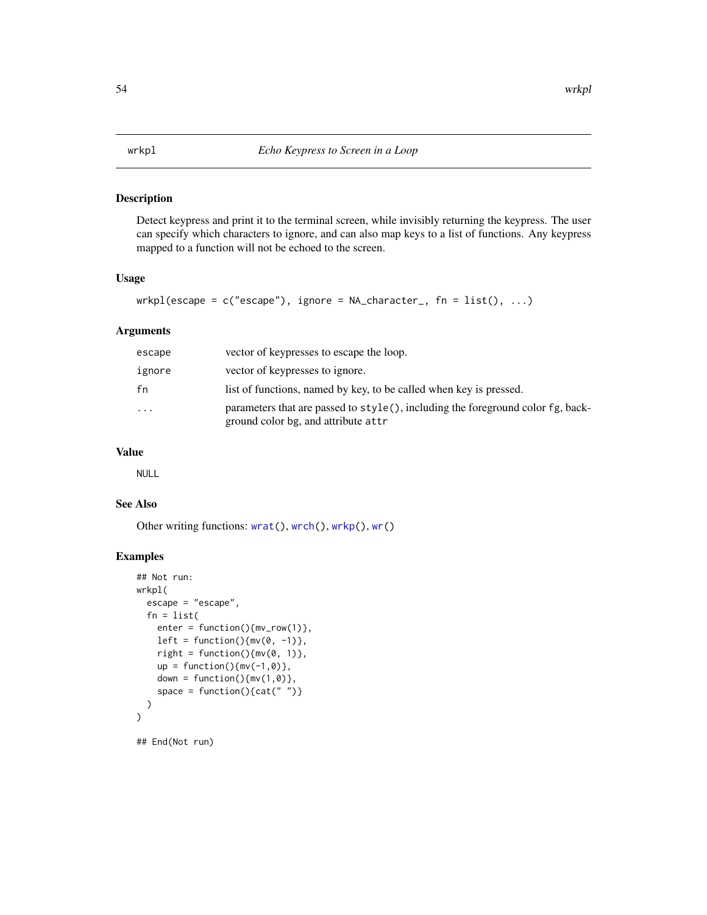<span id="page-53-1"></span><span id="page-53-0"></span>Detect keypress and print it to the terminal screen, while invisibly returning the keypress. The user can specify which characters to ignore, and can also map keys to a list of functions. Any keypress mapped to a function will not be echoed to the screen.

# Usage

```
wrkpl(escape = c("escape"), ignore = NA_character_, fn = list(), ...)
```
# Arguments

| escape    | vector of keypresses to escape the loop.                                                                                     |
|-----------|------------------------------------------------------------------------------------------------------------------------------|
| ignore    | vector of keypresses to ignore.                                                                                              |
| fn        | list of functions, named by key, to be called when key is pressed.                                                           |
| $\ddotsc$ | parameters that are passed to $style()$ , including the foreground color $fg$ , back-<br>ground color bg, and attribute attr |

# Value

NULL

# See Also

Other writing functions: [wrat\(](#page-49-1)), [wrch\(](#page-50-1)), [wrkp\(](#page-52-1)), [wr\(](#page-48-1))

```
## Not run:
wrkpl(
  escape = "escape",
  fn = list(enter = function(){mv\_row(1)},
   left = function(){mv(0, -1)},
   right = function(){mv(0, 1)},
   up = function(){mv(-1,0)},
   down = function(){mv(1,0)},
    space = function(){cat(" ")}
  )
)
## End(Not run)
```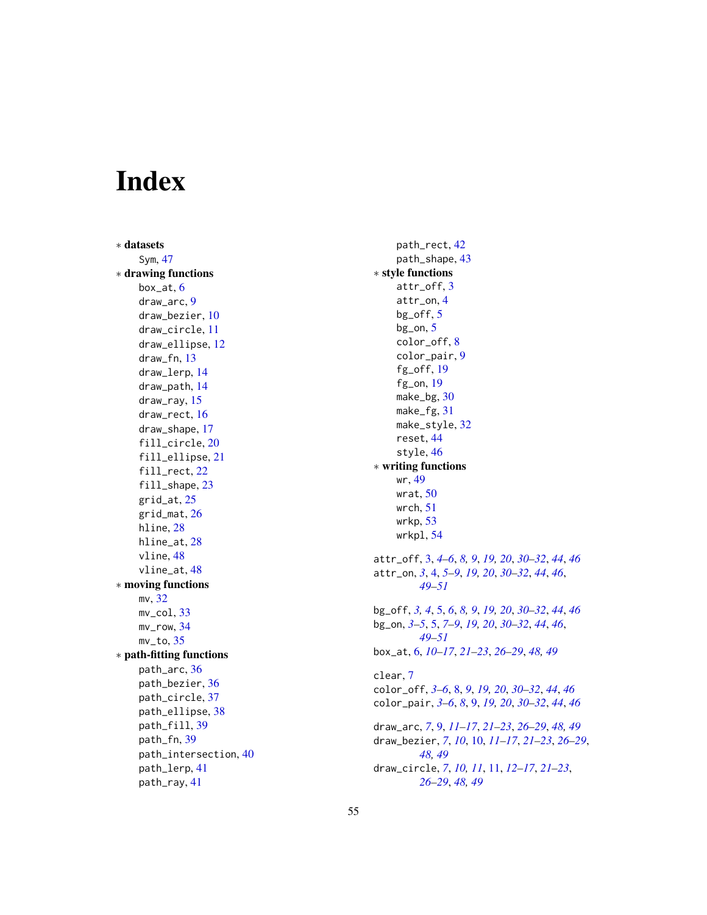# <span id="page-54-0"></span>Index

∗ datasets Sym , [47](#page-46-0) ∗ drawing functions box\_at , [6](#page-5-0) draw\_arc , [9](#page-8-0) draw\_bezier , [10](#page-9-0) draw\_circle , [11](#page-10-0) draw\_ellipse , [12](#page-11-0) draw\_fn , [13](#page-12-0) draw\_lerp , [14](#page-13-0) draw\_path , [14](#page-13-0) draw\_ray , [15](#page-14-0) draw\_rect , [16](#page-15-0) draw\_shape , [17](#page-16-0) fill\_circle , [20](#page-19-0) fill\_ellipse , [21](#page-20-0) fill\_rect , [22](#page-21-0) fill\_shape, [23](#page-22-0) grid\_at , [25](#page-24-0) grid\_mat , [26](#page-25-0) hline, [28](#page-27-0) hline\_at, [28](#page-27-0) vline , [48](#page-47-0) vline\_at , [48](#page-47-0) ∗ moving functions mv , [32](#page-31-0)  $mv\_col, 33$  $mv\_col, 33$ mv\_row , [34](#page-33-0) mv\_to , [35](#page-34-0) ∗ path-fitting functions path\_arc , [36](#page-35-0) path\_bezier , [36](#page-35-0) path\_circle , [37](#page-36-0) path\_ellipse , [38](#page-37-0) path\_fill , [39](#page-38-0) path\_fn , [39](#page-38-0) path\_intersection , [40](#page-39-0) path\_lerp , [41](#page-40-0) path\_ray , [41](#page-40-0)

path\_rect , [42](#page-41-0) path\_shape , [43](#page-42-0) ∗ style functions attr\_off , [3](#page-2-0) attr\_on , [4](#page-3-0) bg\_off , [5](#page-4-0) bg\_on , [5](#page-4-0) color\_off , [8](#page-7-0) color\_pair , [9](#page-8-0) fg\_off , [19](#page-18-0) fg\_on , [19](#page-18-0) make\_bg, [30](#page-29-0) make\_fg , [31](#page-30-0) make\_style,[32](#page-31-0) reset , [44](#page-43-0) style, [46](#page-45-0) ∗ writing functions wr , [49](#page-48-0) wrat, $50\,$  $50\,$ wrch , [51](#page-50-0) wrkp , [53](#page-52-0) wrkpl , [54](#page-53-0) attr\_off , [3](#page-2-0) , *[4](#page-3-0) – [6](#page-5-0)* , *[8](#page-7-0) , [9](#page-8-0)* , *[19](#page-18-0) , [20](#page-19-0)* , *[30](#page-29-0)[–32](#page-31-0)* , *[44](#page-43-0)* , *[46](#page-45-0)* attr\_on , *[3](#page-2-0)* , [4](#page-3-0) , *[5](#page-4-0) – [9](#page-8-0)* , *[19](#page-18-0) , [20](#page-19-0)* , *[30](#page-29-0)[–32](#page-31-0)* , *[44](#page-43-0)* , *[46](#page-45-0)* , *[49](#page-48-0) [–51](#page-50-0)* bg\_off , *[3](#page-2-0) , [4](#page-3-0)* , [5](#page-4-0) , *[6](#page-5-0)* , *[8](#page-7-0) , [9](#page-8-0)* , *[19](#page-18-0) , [20](#page-19-0)* , *[30](#page-29-0)[–32](#page-31-0)* , *[44](#page-43-0)* , *[46](#page-45-0)* bg\_on , *[3](#page-2-0) – [5](#page-4-0)* , [5](#page-4-0) , *[7–](#page-6-0) [9](#page-8-0)* , *[19](#page-18-0) , [20](#page-19-0)* , *[30](#page-29-0)[–32](#page-31-0)* , *[44](#page-43-0)* , *[46](#page-45-0)* , *[49](#page-48-0) [–51](#page-50-0)* box\_at , [6](#page-5-0) , *[10](#page-9-0)[–17](#page-16-0)* , *[21](#page-20-0) [–23](#page-22-0)* , *[26](#page-25-0)[–29](#page-28-0)* , *[48](#page-47-0) , [49](#page-48-0)* clear , [7](#page-6-0) color\_off , *[3](#page-2-0) – [6](#page-5-0)* , [8](#page-7-0) , *[9](#page-8-0)* , *[19](#page-18-0) , [20](#page-19-0)* , *[30](#page-29-0)[–32](#page-31-0)* , *[44](#page-43-0)* , *[46](#page-45-0)* color\_pair , *[3](#page-2-0) – [6](#page-5-0)* , *[8](#page-7-0)* , [9](#page-8-0) , *[19](#page-18-0) , [20](#page-19-0)* , *[30](#page-29-0)[–32](#page-31-0)* , *[44](#page-43-0)* , *[46](#page-45-0)* draw\_arc , *[7](#page-6-0)* , [9](#page-8-0) , *[11](#page-10-0) [–17](#page-16-0)* , *[21](#page-20-0) [–23](#page-22-0)* , *[26](#page-25-0)[–29](#page-28-0)* , *[48](#page-47-0) , [49](#page-48-0)* draw\_bezier , *[7](#page-6-0)* , *[10](#page-9-0)* , [10](#page-9-0) , *[11](#page-10-0) [–17](#page-16-0)* , *[21](#page-20-0) [–23](#page-22-0)* , *[26](#page-25-0)[–29](#page-28-0)* , *[48](#page-47-0) , [49](#page-48-0)* draw\_circle , *[7](#page-6-0)* , *[10](#page-9-0) , [11](#page-10-0)* , [11](#page-10-0) , *[12](#page-11-0) [–17](#page-16-0)* , *[21](#page-20-0) [–23](#page-22-0)* , *[26](#page-25-0)[–29](#page-28-0)* , *[48](#page-47-0) , [49](#page-48-0)*